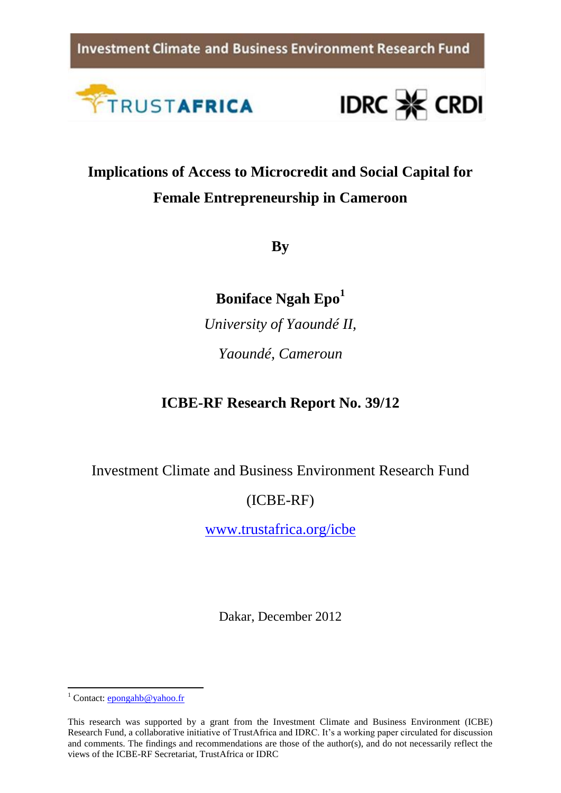**Investment Climate and Business Environment Research Fund** 





# **Implications of Access to Microcredit and Social Capital for Female Entrepreneurship in Cameroon**

**By**

**Boniface Ngah Epo<sup>1</sup>**

*University of Yaoundé II, Yaoundé, Cameroun*

**ICBE-RF Research Report No. 39/12**

Investment Climate and Business Environment Research Fund

# (ICBE-RF)

[www.trustafrica.org/icbe](http://www.trustafrica.org/icbe)

Dakar, December 2012

**<sup>.</sup>** <sup>1</sup> Contact:  $\frac{\text{ev}}{\text{ev}}$  contact:  $\frac{\text{ev}}{\text{ev}}$ 

This research was supported by a grant from the Investment Climate and Business Environment (ICBE) Research Fund, a collaborative initiative of TrustAfrica and IDRC. It's a working paper circulated for discussion and comments. The findings and recommendations are those of the author(s), and do not necessarily reflect the views of the ICBE-RF Secretariat, TrustAfrica or IDRC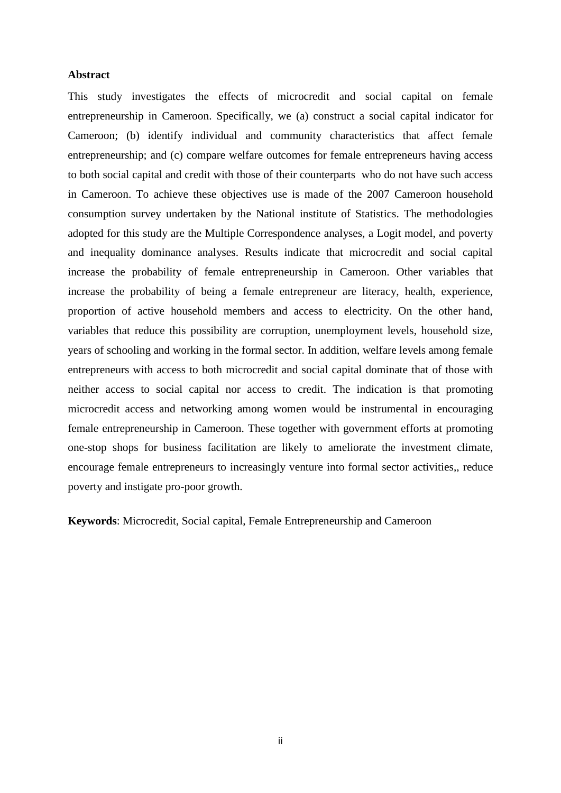### <span id="page-1-0"></span>**Abstract**

This study investigates the effects of microcredit and social capital on female entrepreneurship in Cameroon. Specifically, we (a) construct a social capital indicator for Cameroon; (b) identify individual and community characteristics that affect female entrepreneurship; and (c) compare welfare outcomes for female entrepreneurs having access to both social capital and credit with those of their counterparts who do not have such access in Cameroon. To achieve these objectives use is made of the 2007 Cameroon household consumption survey undertaken by the National institute of Statistics. The methodologies adopted for this study are the Multiple Correspondence analyses, a Logit model, and poverty and inequality dominance analyses. Results indicate that microcredit and social capital increase the probability of female entrepreneurship in Cameroon. Other variables that increase the probability of being a female entrepreneur are literacy, health, experience, proportion of active household members and access to electricity. On the other hand, variables that reduce this possibility are corruption, unemployment levels, household size, years of schooling and working in the formal sector. In addition, welfare levels among female entrepreneurs with access to both microcredit and social capital dominate that of those with neither access to social capital nor access to credit. The indication is that promoting microcredit access and networking among women would be instrumental in encouraging female entrepreneurship in Cameroon. These together with government efforts at promoting one-stop shops for business facilitation are likely to ameliorate the investment climate, encourage female entrepreneurs to increasingly venture into formal sector activities,, reduce poverty and instigate pro-poor growth.

**Keywords**: Microcredit, Social capital, Female Entrepreneurship and Cameroon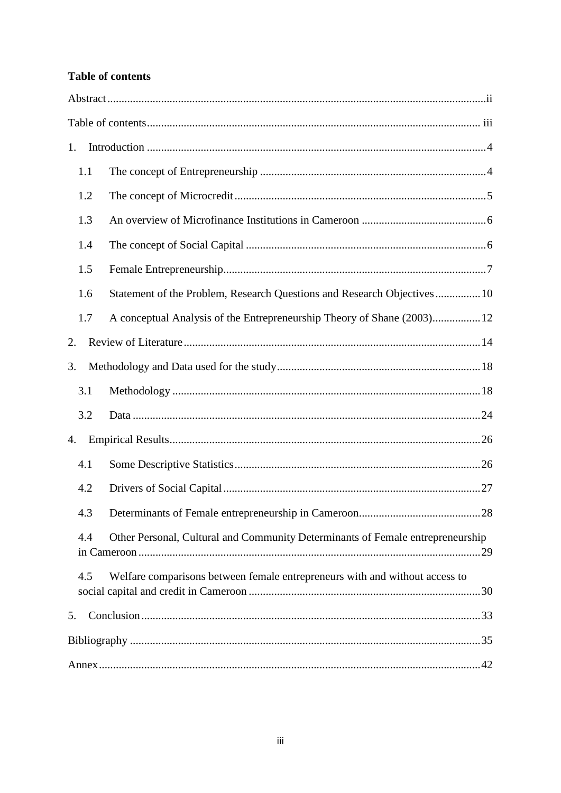# <span id="page-2-0"></span>**Table of contents**

| 1.                                                                                    |  |                                                                             |  |  |  |  |
|---------------------------------------------------------------------------------------|--|-----------------------------------------------------------------------------|--|--|--|--|
| 1.1                                                                                   |  |                                                                             |  |  |  |  |
| 1.2                                                                                   |  |                                                                             |  |  |  |  |
| 1.3                                                                                   |  |                                                                             |  |  |  |  |
| 1.4                                                                                   |  |                                                                             |  |  |  |  |
| 1.5                                                                                   |  |                                                                             |  |  |  |  |
| 1.6                                                                                   |  | Statement of the Problem, Research Questions and Research Objectives  10    |  |  |  |  |
| 1.7                                                                                   |  | A conceptual Analysis of the Entrepreneurship Theory of Shane (2003)12      |  |  |  |  |
| 2.                                                                                    |  |                                                                             |  |  |  |  |
| 3.                                                                                    |  |                                                                             |  |  |  |  |
| 3.1                                                                                   |  |                                                                             |  |  |  |  |
| 3.2                                                                                   |  |                                                                             |  |  |  |  |
| 4.                                                                                    |  |                                                                             |  |  |  |  |
| 4.1                                                                                   |  |                                                                             |  |  |  |  |
| 4.2                                                                                   |  |                                                                             |  |  |  |  |
| 4.3                                                                                   |  |                                                                             |  |  |  |  |
| Other Personal, Cultural and Community Determinants of Female entrepreneurship<br>4.4 |  |                                                                             |  |  |  |  |
| 4.5                                                                                   |  | Welfare comparisons between female entrepreneurs with and without access to |  |  |  |  |
| 5.                                                                                    |  |                                                                             |  |  |  |  |
|                                                                                       |  |                                                                             |  |  |  |  |
|                                                                                       |  |                                                                             |  |  |  |  |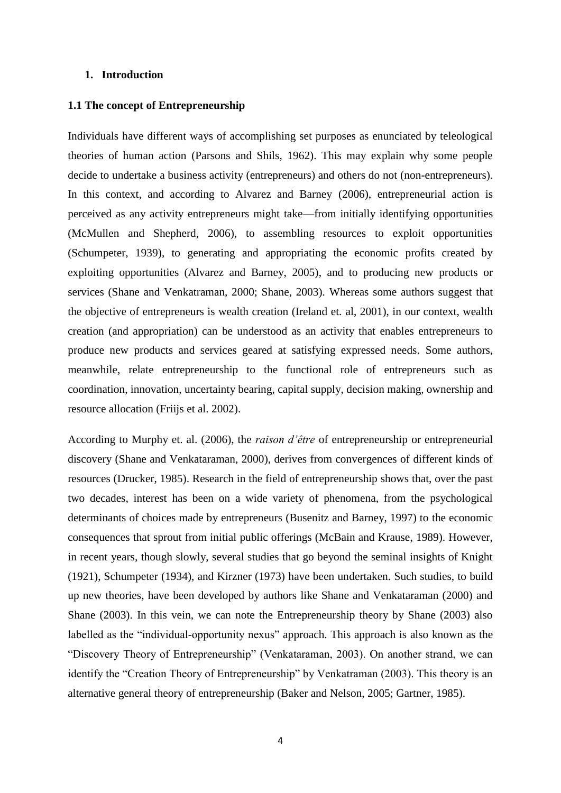## <span id="page-3-0"></span>**1. Introduction**

### <span id="page-3-1"></span>**1.1 The concept of Entrepreneurship**

Individuals have different ways of accomplishing set purposes as enunciated by teleological theories of human action (Parsons and Shils, 1962). This may explain why some people decide to undertake a business activity (entrepreneurs) and others do not (non-entrepreneurs). In this context, and according to Alvarez and Barney (2006), entrepreneurial action is perceived as any activity entrepreneurs might take—from initially identifying opportunities (McMullen and Shepherd, 2006), to assembling resources to exploit opportunities (Schumpeter, 1939), to generating and appropriating the economic profits created by exploiting opportunities (Alvarez and Barney, 2005), and to producing new products or services (Shane and Venkatraman, 2000; Shane, 2003). Whereas some authors suggest that the objective of entrepreneurs is wealth creation (Ireland et. al, 2001), in our context, wealth creation (and appropriation) can be understood as an activity that enables entrepreneurs to produce new products and services geared at satisfying expressed needs. Some authors, meanwhile, relate entrepreneurship to the functional role of entrepreneurs such as coordination, innovation, uncertainty bearing, capital supply, decision making, ownership and resource allocation (Friijs et al. 2002).

According to Murphy et. al. (2006), the *raison d'être* of entrepreneurship or entrepreneurial discovery (Shane and Venkataraman, 2000), derives from convergences of different kinds of resources (Drucker, 1985). Research in the field of entrepreneurship shows that, over the past two decades, interest has been on a wide variety of phenomena, from the psychological determinants of choices made by entrepreneurs (Busenitz and Barney, 1997) to the economic consequences that sprout from initial public offerings (McBain and Krause, 1989). However, in recent years, though slowly, several studies that go beyond the seminal insights of Knight (1921), Schumpeter (1934), and Kirzner (1973) have been undertaken. Such studies, to build up new theories, have been developed by authors like Shane and Venkataraman (2000) and Shane (2003). In this vein, we can note the Entrepreneurship theory by Shane (2003) also labelled as the "individual-opportunity nexus" approach. This approach is also known as the "Discovery Theory of Entrepreneurship" (Venkataraman, 2003). On another strand, we can identify the "Creation Theory of Entrepreneurship" by Venkatraman (2003). This theory is an alternative general theory of entrepreneurship (Baker and Nelson, 2005; Gartner, 1985).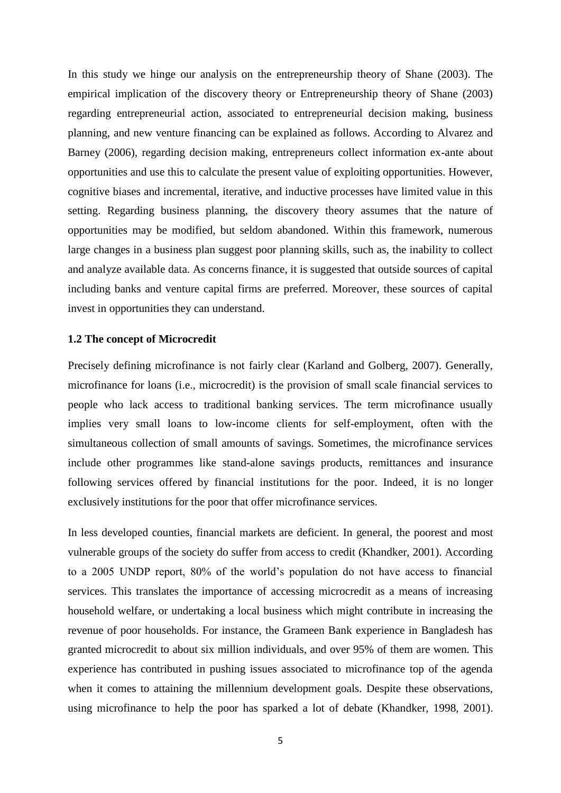In this study we hinge our analysis on the entrepreneurship theory of Shane (2003). The empirical implication of the discovery theory or Entrepreneurship theory of Shane (2003) regarding entrepreneurial action, associated to entrepreneurial decision making, business planning, and new venture financing can be explained as follows. According to Alvarez and Barney (2006), regarding decision making, entrepreneurs collect information ex-ante about opportunities and use this to calculate the present value of exploiting opportunities. However, cognitive biases and incremental, iterative, and inductive processes have limited value in this setting. Regarding business planning, the discovery theory assumes that the nature of opportunities may be modified, but seldom abandoned. Within this framework, numerous large changes in a business plan suggest poor planning skills, such as, the inability to collect and analyze available data. As concerns finance, it is suggested that outside sources of capital including banks and venture capital firms are preferred. Moreover, these sources of capital invest in opportunities they can understand.

#### <span id="page-4-0"></span>**1.2 The concept of Microcredit**

Precisely defining microfinance is not fairly clear (Karland and Golberg, 2007). Generally, microfinance for loans (i.e., microcredit) is the provision of small scale financial services to people who lack access to traditional banking services. The term microfinance usually implies very small loans to low-income clients for self-employment, often with the simultaneous collection of small amounts of savings. Sometimes, the microfinance services include other programmes like stand-alone savings products, remittances and insurance following services offered by financial institutions for the poor. Indeed, it is no longer exclusively institutions for the poor that offer microfinance services.

In less developed counties, financial markets are deficient. In general, the poorest and most vulnerable groups of the society do suffer from access to credit (Khandker, 2001). According to a 2005 UNDP report, 80% of the world's population do not have access to financial services. This translates the importance of accessing microcredit as a means of increasing household welfare, or undertaking a local business which might contribute in increasing the revenue of poor households. For instance, the Grameen Bank experience in Bangladesh has granted microcredit to about six million individuals, and over 95% of them are women. This experience has contributed in pushing issues associated to microfinance top of the agenda when it comes to attaining the millennium development goals. Despite these observations, using microfinance to help the poor has sparked a lot of debate (Khandker, 1998, 2001).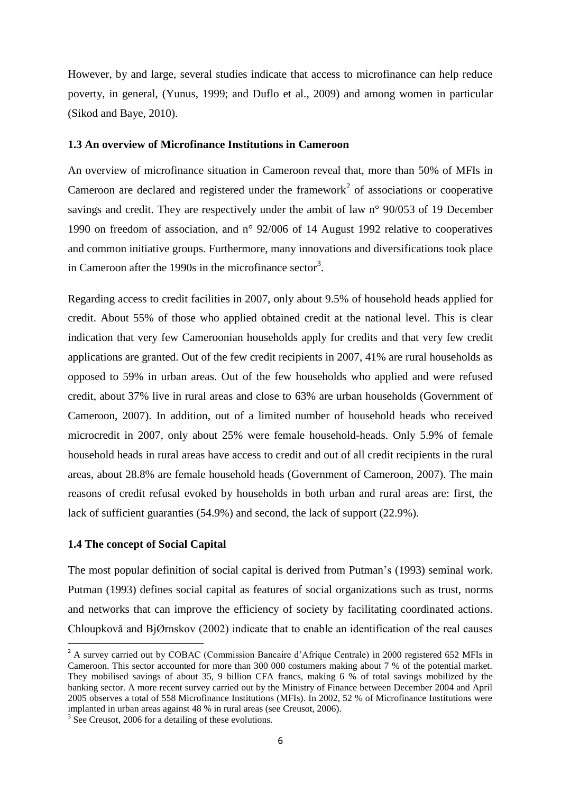However, by and large, several studies indicate that access to microfinance can help reduce poverty, in general, (Yunus, 1999; and Duflo et al., 2009) and among women in particular (Sikod and Baye, 2010).

## <span id="page-5-0"></span>**1.3 An overview of Microfinance Institutions in Cameroon**

An overview of microfinance situation in Cameroon reveal that, more than 50% of MFIs in Cameroon are declared and registered under the framework<sup>2</sup> of associations or cooperative savings and credit. They are respectively under the ambit of law n° 90/053 of 19 December 1990 on freedom of association, and n° 92/006 of 14 August 1992 relative to cooperatives and common initiative groups. Furthermore, many innovations and diversifications took place in Cameroon after the 1990s in the microfinance sector<sup>3</sup>.

Regarding access to credit facilities in 2007, only about 9.5% of household heads applied for credit. About 55% of those who applied obtained credit at the national level. This is clear indication that very few Cameroonian households apply for credits and that very few credit applications are granted. Out of the few credit recipients in 2007, 41% are rural households as opposed to 59% in urban areas. Out of the few households who applied and were refused credit, about 37% live in rural areas and close to 63% are urban households (Government of Cameroon, 2007). In addition, out of a limited number of household heads who received microcredit in 2007, only about 25% were female household-heads. Only 5.9% of female household heads in rural areas have access to credit and out of all credit recipients in the rural areas, about 28.8% are female household heads (Government of Cameroon, 2007). The main reasons of credit refusal evoked by households in both urban and rural areas are: first, the lack of sufficient guaranties (54.9%) and second, the lack of support (22.9%).

# <span id="page-5-1"></span>**1.4 The concept of Social Capital**

**.** 

The most popular definition of social capital is derived from Putman's (1993) seminal work. Putman (1993) defines social capital as features of social organizations such as trust, norms and networks that can improve the efficiency of society by facilitating coordinated actions. Chloupkovǎ and BjØrnskov (2002) indicate that to enable an identification of the real causes

<sup>&</sup>lt;sup>2</sup> A survey carried out by COBAC (Commission Bancaire d'Afrique Centrale) in 2000 registered 652 MFIs in Cameroon. This sector accounted for more than 300 000 costumers making about 7 % of the potential market. They mobilised savings of about 35, 9 billion CFA francs, making 6 % of total savings mobilized by the banking sector. A more recent survey carried out by the Ministry of Finance between December 2004 and April 2005 observes a total of 558 Microfinance Institutions (MFIs). In 2002, 52 % of Microfinance Institutions were implanted in urban areas against 48 % in rural areas (see Creusot, 2006).

<sup>&</sup>lt;sup>3</sup> See Creusot, 2006 for a detailing of these evolutions.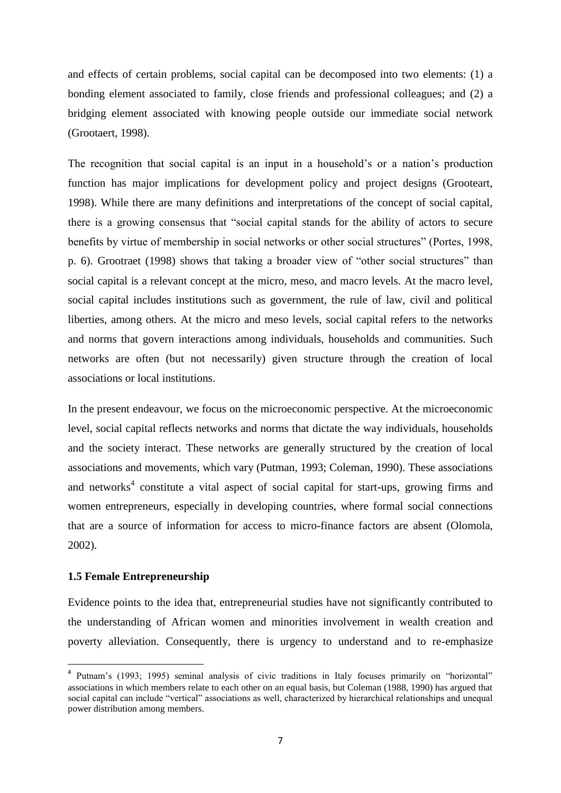and effects of certain problems, social capital can be decomposed into two elements: (1) a bonding element associated to family, close friends and professional colleagues; and (2) a bridging element associated with knowing people outside our immediate social network (Grootaert, 1998).

The recognition that social capital is an input in a household's or a nation's production function has major implications for development policy and project designs (Grooteart, 1998). While there are many definitions and interpretations of the concept of social capital, there is a growing consensus that "social capital stands for the ability of actors to secure benefits by virtue of membership in social networks or other social structures" (Portes, 1998, p. 6). Grootraet (1998) shows that taking a broader view of "other social structures" than social capital is a relevant concept at the micro, meso, and macro levels. At the macro level, social capital includes institutions such as government, the rule of law, civil and political liberties, among others. At the micro and meso levels, social capital refers to the networks and norms that govern interactions among individuals, households and communities. Such networks are often (but not necessarily) given structure through the creation of local associations or local institutions.

In the present endeavour, we focus on the microeconomic perspective. At the microeconomic level, social capital reflects networks and norms that dictate the way individuals, households and the society interact. These networks are generally structured by the creation of local associations and movements, which vary (Putman, 1993; Coleman, 1990). These associations and networks<sup>4</sup> constitute a vital aspect of social capital for start-ups, growing firms and women entrepreneurs, especially in developing countries, where formal social connections that are a source of information for access to micro-finance factors are absent (Olomola, 2002).

# <span id="page-6-0"></span>**1.5 Female Entrepreneurship**

**.** 

Evidence points to the idea that, entrepreneurial studies have not significantly contributed to the understanding of African women and minorities involvement in wealth creation and poverty alleviation. Consequently, there is urgency to understand and to re-emphasize

<sup>4</sup> Putnam's (1993; 1995) seminal analysis of civic traditions in Italy focuses primarily on "horizontal" associations in which members relate to each other on an equal basis, but Coleman (1988, 1990) has argued that social capital can include "vertical" associations as well, characterized by hierarchical relationships and unequal power distribution among members.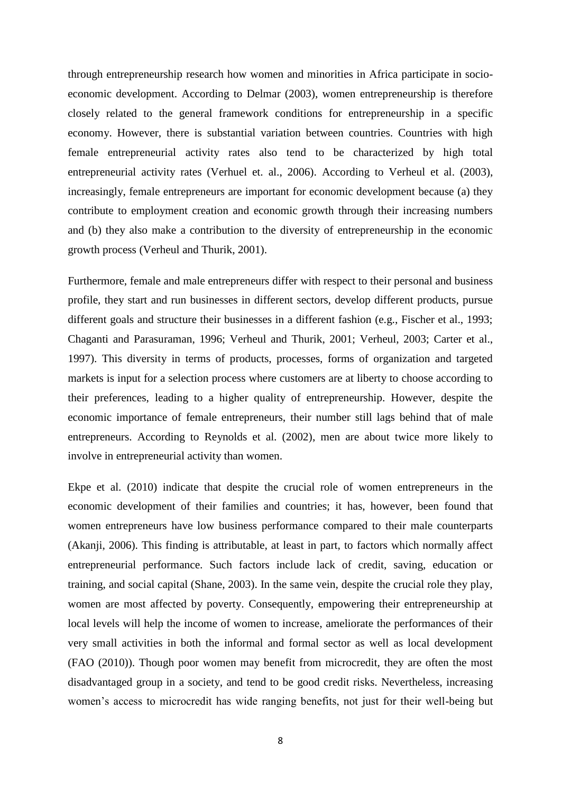through entrepreneurship research how women and minorities in Africa participate in socioeconomic development. According to Delmar (2003), women entrepreneurship is therefore closely related to the general framework conditions for entrepreneurship in a specific economy. However, there is substantial variation between countries. Countries with high female entrepreneurial activity rates also tend to be characterized by high total entrepreneurial activity rates (Verhuel et. al., 2006). According to Verheul et al. (2003), increasingly, female entrepreneurs are important for economic development because (a) they contribute to employment creation and economic growth through their increasing numbers and (b) they also make a contribution to the diversity of entrepreneurship in the economic growth process (Verheul and Thurik, 2001).

Furthermore, female and male entrepreneurs differ with respect to their personal and business profile, they start and run businesses in different sectors, develop different products, pursue different goals and structure their businesses in a different fashion (e.g., Fischer et al., 1993; Chaganti and Parasuraman, 1996; Verheul and Thurik, 2001; Verheul, 2003; Carter et al., 1997). This diversity in terms of products, processes, forms of organization and targeted markets is input for a selection process where customers are at liberty to choose according to their preferences, leading to a higher quality of entrepreneurship. However, despite the economic importance of female entrepreneurs, their number still lags behind that of male entrepreneurs. According to Reynolds et al. (2002), men are about twice more likely to involve in entrepreneurial activity than women.

Ekpe et al. (2010) indicate that despite the crucial role of women entrepreneurs in the economic development of their families and countries; it has, however, been found that women entrepreneurs have low business performance compared to their male counterparts (Akanji, 2006). This finding is attributable, at least in part, to factors which normally affect entrepreneurial performance. Such factors include lack of credit, saving, education or training, and social capital (Shane, 2003). In the same vein, despite the crucial role they play, women are most affected by poverty. Consequently, empowering their entrepreneurship at local levels will help the income of women to increase, ameliorate the performances of their very small activities in both the informal and formal sector as well as local development (FAO (2010)). Though poor women may benefit from microcredit, they are often the most disadvantaged group in a society, and tend to be good credit risks. Nevertheless, increasing women's access to microcredit has wide ranging benefits, not just for their well-being but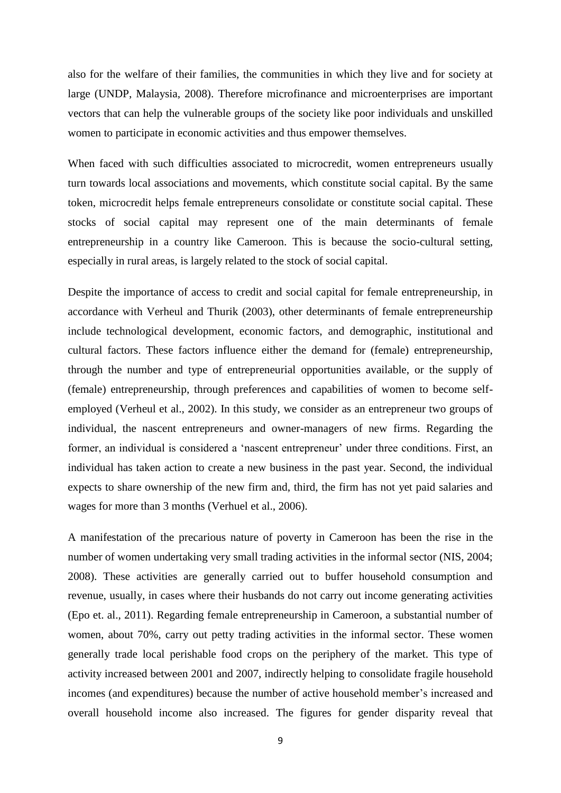also for the welfare of their families, the communities in which they live and for society at large (UNDP, Malaysia, 2008). Therefore microfinance and microenterprises are important vectors that can help the vulnerable groups of the society like poor individuals and unskilled women to participate in economic activities and thus empower themselves.

When faced with such difficulties associated to microcredit, women entrepreneurs usually turn towards local associations and movements, which constitute social capital. By the same token, microcredit helps female entrepreneurs consolidate or constitute social capital. These stocks of social capital may represent one of the main determinants of female entrepreneurship in a country like Cameroon. This is because the socio-cultural setting, especially in rural areas, is largely related to the stock of social capital.

Despite the importance of access to credit and social capital for female entrepreneurship, in accordance with Verheul and Thurik (2003), other determinants of female entrepreneurship include technological development, economic factors, and demographic, institutional and cultural factors. These factors influence either the demand for (female) entrepreneurship, through the number and type of entrepreneurial opportunities available, or the supply of (female) entrepreneurship, through preferences and capabilities of women to become selfemployed (Verheul et al., 2002). In this study, we consider as an entrepreneur two groups of individual, the nascent entrepreneurs and owner-managers of new firms. Regarding the former, an individual is considered a 'nascent entrepreneur' under three conditions. First, an individual has taken action to create a new business in the past year. Second, the individual expects to share ownership of the new firm and, third, the firm has not yet paid salaries and wages for more than 3 months (Verhuel et al., 2006).

A manifestation of the precarious nature of poverty in Cameroon has been the rise in the number of women undertaking very small trading activities in the informal sector (NIS, 2004; 2008). These activities are generally carried out to buffer household consumption and revenue, usually, in cases where their husbands do not carry out income generating activities (Epo et. al., 2011). Regarding female entrepreneurship in Cameroon, a substantial number of women, about 70%, carry out petty trading activities in the informal sector. These women generally trade local perishable food crops on the periphery of the market. This type of activity increased between 2001 and 2007, indirectly helping to consolidate fragile household incomes (and expenditures) because the number of active household member's increased and overall household income also increased. The figures for gender disparity reveal that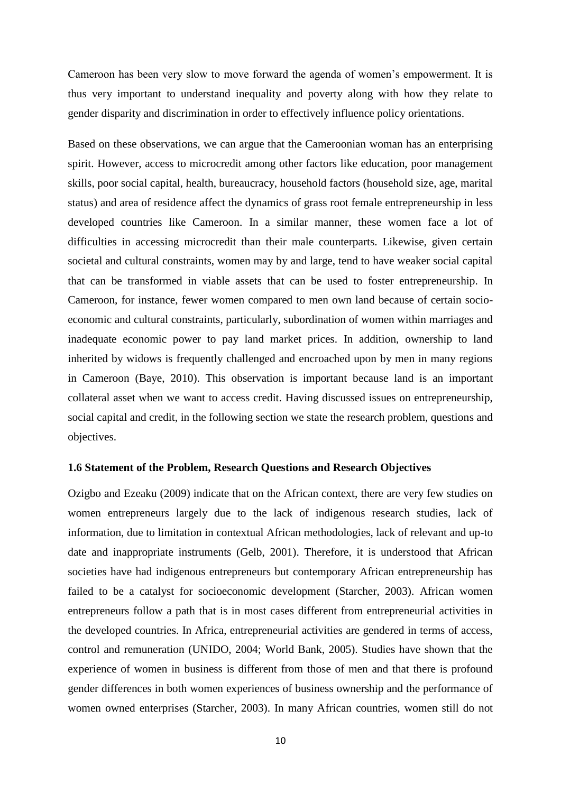Cameroon has been very slow to move forward the agenda of women's empowerment. It is thus very important to understand inequality and poverty along with how they relate to gender disparity and discrimination in order to effectively influence policy orientations.

Based on these observations, we can argue that the Cameroonian woman has an enterprising spirit. However, access to microcredit among other factors like education, poor management skills, poor social capital, health, bureaucracy, household factors (household size, age, marital status) and area of residence affect the dynamics of grass root female entrepreneurship in less developed countries like Cameroon. In a similar manner, these women face a lot of difficulties in accessing microcredit than their male counterparts. Likewise, given certain societal and cultural constraints, women may by and large, tend to have weaker social capital that can be transformed in viable assets that can be used to foster entrepreneurship. In Cameroon, for instance, fewer women compared to men own land because of certain socioeconomic and cultural constraints, particularly, subordination of women within marriages and inadequate economic power to pay land market prices. In addition, ownership to land inherited by widows is frequently challenged and encroached upon by men in many regions in Cameroon (Baye, 2010). This observation is important because land is an important collateral asset when we want to access credit. Having discussed issues on entrepreneurship, social capital and credit, in the following section we state the research problem, questions and objectives.

#### <span id="page-9-0"></span>**1.6 Statement of the Problem, Research Questions and Research Objectives**

Ozigbo and Ezeaku (2009) indicate that on the African context, there are very few studies on women entrepreneurs largely due to the lack of indigenous research studies, lack of information, due to limitation in contextual African methodologies, lack of relevant and up-to date and inappropriate instruments (Gelb, 2001). Therefore, it is understood that African societies have had indigenous entrepreneurs but contemporary African entrepreneurship has failed to be a catalyst for socioeconomic development (Starcher, 2003). African women entrepreneurs follow a path that is in most cases different from entrepreneurial activities in the developed countries. In Africa, entrepreneurial activities are gendered in terms of access, control and remuneration (UNIDO, 2004; World Bank, 2005). Studies have shown that the experience of women in business is different from those of men and that there is profound gender differences in both women experiences of business ownership and the performance of women owned enterprises (Starcher, 2003). In many African countries, women still do not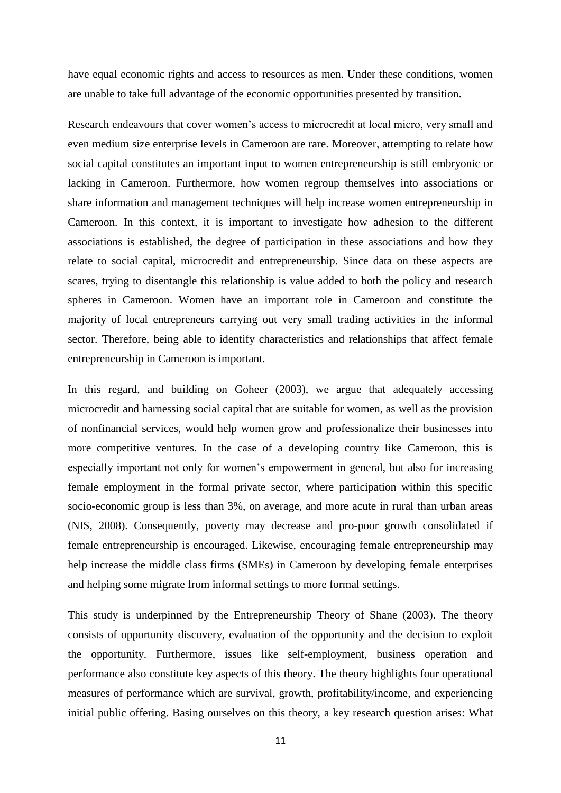have equal economic rights and access to resources as men. Under these conditions, women are unable to take full advantage of the economic opportunities presented by transition.

Research endeavours that cover women's access to microcredit at local micro, very small and even medium size enterprise levels in Cameroon are rare. Moreover, attempting to relate how social capital constitutes an important input to women entrepreneurship is still embryonic or lacking in Cameroon. Furthermore, how women regroup themselves into associations or share information and management techniques will help increase women entrepreneurship in Cameroon. In this context, it is important to investigate how adhesion to the different associations is established, the degree of participation in these associations and how they relate to social capital, microcredit and entrepreneurship. Since data on these aspects are scares, trying to disentangle this relationship is value added to both the policy and research spheres in Cameroon. Women have an important role in Cameroon and constitute the majority of local entrepreneurs carrying out very small trading activities in the informal sector. Therefore, being able to identify characteristics and relationships that affect female entrepreneurship in Cameroon is important.

In this regard, and building on Goheer (2003), we argue that adequately accessing microcredit and harnessing social capital that are suitable for women, as well as the provision of nonfinancial services, would help women grow and professionalize their businesses into more competitive ventures. In the case of a developing country like Cameroon, this is especially important not only for women's empowerment in general, but also for increasing female employment in the formal private sector, where participation within this specific socio-economic group is less than 3%, on average, and more acute in rural than urban areas (NIS, 2008). Consequently, poverty may decrease and pro-poor growth consolidated if female entrepreneurship is encouraged. Likewise, encouraging female entrepreneurship may help increase the middle class firms (SMEs) in Cameroon by developing female enterprises and helping some migrate from informal settings to more formal settings.

This study is underpinned by the Entrepreneurship Theory of Shane (2003). The theory consists of opportunity discovery, evaluation of the opportunity and the decision to exploit the opportunity. Furthermore, issues like self-employment, business operation and performance also constitute key aspects of this theory. The theory highlights four operational measures of performance which are survival, growth, profitability/income, and experiencing initial public offering. Basing ourselves on this theory, a key research question arises: What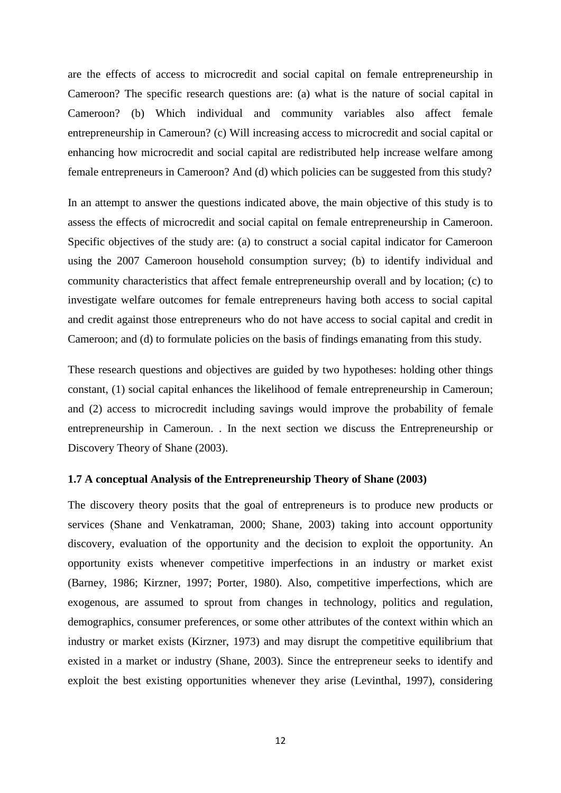are the effects of access to microcredit and social capital on female entrepreneurship in Cameroon? The specific research questions are: (a) what is the nature of social capital in Cameroon? (b) Which individual and community variables also affect female entrepreneurship in Cameroun? (c) Will increasing access to microcredit and social capital or enhancing how microcredit and social capital are redistributed help increase welfare among female entrepreneurs in Cameroon? And (d) which policies can be suggested from this study?

In an attempt to answer the questions indicated above, the main objective of this study is to assess the effects of microcredit and social capital on female entrepreneurship in Cameroon. Specific objectives of the study are: (a) to construct a social capital indicator for Cameroon using the 2007 Cameroon household consumption survey; (b) to identify individual and community characteristics that affect female entrepreneurship overall and by location; (c) to investigate welfare outcomes for female entrepreneurs having both access to social capital and credit against those entrepreneurs who do not have access to social capital and credit in Cameroon; and (d) to formulate policies on the basis of findings emanating from this study.

These research questions and objectives are guided by two hypotheses: holding other things constant, (1) social capital enhances the likelihood of female entrepreneurship in Cameroun; and (2) access to microcredit including savings would improve the probability of female entrepreneurship in Cameroun. . In the next section we discuss the Entrepreneurship or Discovery Theory of Shane (2003).

# <span id="page-11-0"></span>**1.7 A conceptual Analysis of the Entrepreneurship Theory of Shane (2003)**

The discovery theory posits that the goal of entrepreneurs is to produce new products or services (Shane and Venkatraman, 2000; Shane, 2003) taking into account opportunity discovery, evaluation of the opportunity and the decision to exploit the opportunity. An opportunity exists whenever competitive imperfections in an industry or market exist (Barney, 1986; Kirzner, 1997; Porter, 1980). Also, competitive imperfections, which are exogenous, are assumed to sprout from changes in technology, politics and regulation, demographics, consumer preferences, or some other attributes of the context within which an industry or market exists (Kirzner, 1973) and may disrupt the competitive equilibrium that existed in a market or industry (Shane, 2003). Since the entrepreneur seeks to identify and exploit the best existing opportunities whenever they arise (Levinthal, 1997), considering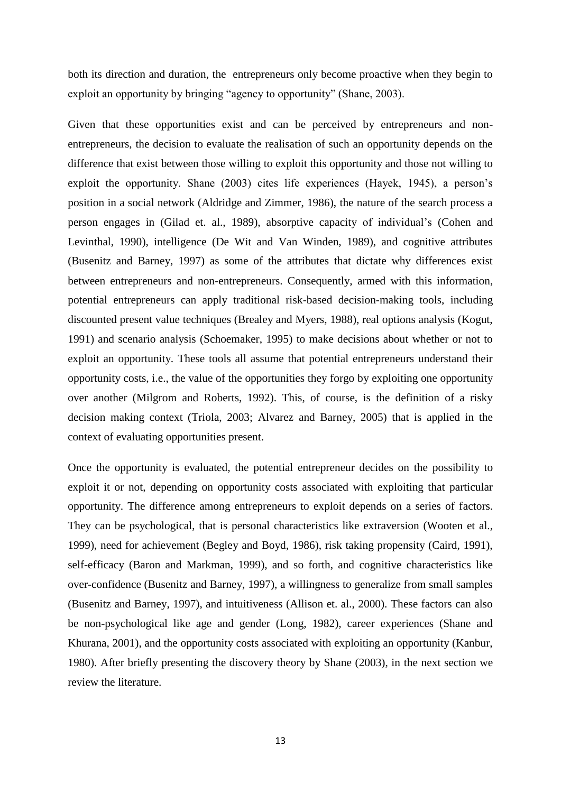both its direction and duration, the entrepreneurs only become proactive when they begin to exploit an opportunity by bringing "agency to opportunity" (Shane, 2003).

Given that these opportunities exist and can be perceived by entrepreneurs and nonentrepreneurs, the decision to evaluate the realisation of such an opportunity depends on the difference that exist between those willing to exploit this opportunity and those not willing to exploit the opportunity. Shane (2003) cites life experiences (Hayek, 1945), a person's position in a social network (Aldridge and Zimmer, 1986), the nature of the search process a person engages in (Gilad et. al., 1989), absorptive capacity of individual's (Cohen and Levinthal, 1990), intelligence (De Wit and Van Winden, 1989), and cognitive attributes (Busenitz and Barney, 1997) as some of the attributes that dictate why differences exist between entrepreneurs and non-entrepreneurs. Consequently, armed with this information, potential entrepreneurs can apply traditional risk-based decision-making tools, including discounted present value techniques (Brealey and Myers, 1988), real options analysis (Kogut, 1991) and scenario analysis (Schoemaker, 1995) to make decisions about whether or not to exploit an opportunity. These tools all assume that potential entrepreneurs understand their opportunity costs, i.e., the value of the opportunities they forgo by exploiting one opportunity over another (Milgrom and Roberts, 1992). This, of course, is the definition of a risky decision making context (Triola, 2003; Alvarez and Barney, 2005) that is applied in the context of evaluating opportunities present.

Once the opportunity is evaluated, the potential entrepreneur decides on the possibility to exploit it or not, depending on opportunity costs associated with exploiting that particular opportunity. The difference among entrepreneurs to exploit depends on a series of factors. They can be psychological, that is personal characteristics like extraversion (Wooten et al., 1999), need for achievement (Begley and Boyd, 1986), risk taking propensity (Caird, 1991), self-efficacy (Baron and Markman, 1999), and so forth, and cognitive characteristics like over-confidence (Busenitz and Barney, 1997), a willingness to generalize from small samples (Busenitz and Barney, 1997), and intuitiveness (Allison et. al., 2000). These factors can also be non-psychological like age and gender (Long, 1982), career experiences (Shane and Khurana, 2001), and the opportunity costs associated with exploiting an opportunity (Kanbur, 1980). After briefly presenting the discovery theory by Shane (2003), in the next section we review the literature.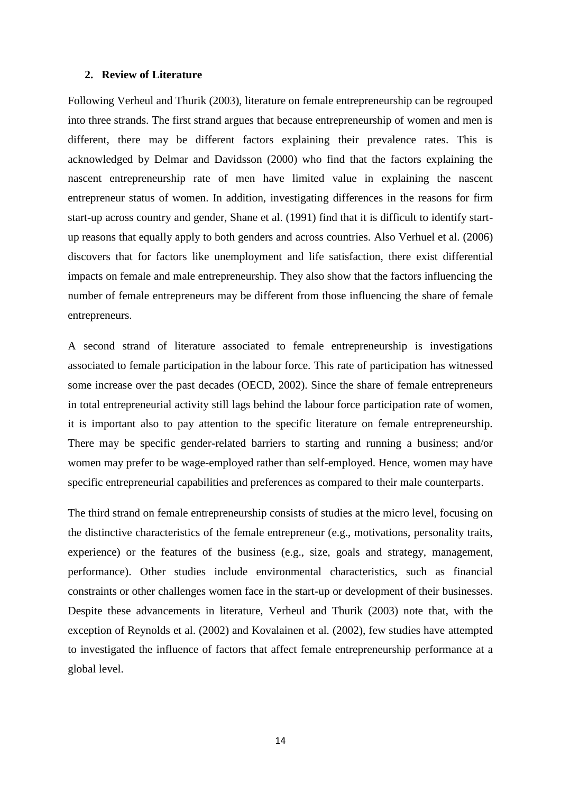#### <span id="page-13-0"></span>**2. Review of Literature**

Following Verheul and Thurik (2003), literature on female entrepreneurship can be regrouped into three strands. The first strand argues that because entrepreneurship of women and men is different, there may be different factors explaining their prevalence rates. This is acknowledged by Delmar and Davidsson (2000) who find that the factors explaining the nascent entrepreneurship rate of men have limited value in explaining the nascent entrepreneur status of women. In addition, investigating differences in the reasons for firm start-up across country and gender, Shane et al. (1991) find that it is difficult to identify startup reasons that equally apply to both genders and across countries. Also Verhuel et al. (2006) discovers that for factors like unemployment and life satisfaction, there exist differential impacts on female and male entrepreneurship. They also show that the factors influencing the number of female entrepreneurs may be different from those influencing the share of female entrepreneurs.

A second strand of literature associated to female entrepreneurship is investigations associated to female participation in the labour force. This rate of participation has witnessed some increase over the past decades (OECD, 2002). Since the share of female entrepreneurs in total entrepreneurial activity still lags behind the labour force participation rate of women, it is important also to pay attention to the specific literature on female entrepreneurship. There may be specific gender-related barriers to starting and running a business; and/or women may prefer to be wage-employed rather than self-employed. Hence, women may have specific entrepreneurial capabilities and preferences as compared to their male counterparts.

The third strand on female entrepreneurship consists of studies at the micro level, focusing on the distinctive characteristics of the female entrepreneur (e.g., motivations, personality traits, experience) or the features of the business (e.g., size, goals and strategy, management, performance). Other studies include environmental characteristics, such as financial constraints or other challenges women face in the start-up or development of their businesses. Despite these advancements in literature, Verheul and Thurik (2003) note that, with the exception of Reynolds et al. (2002) and Kovalainen et al. (2002), few studies have attempted to investigated the influence of factors that affect female entrepreneurship performance at a global level.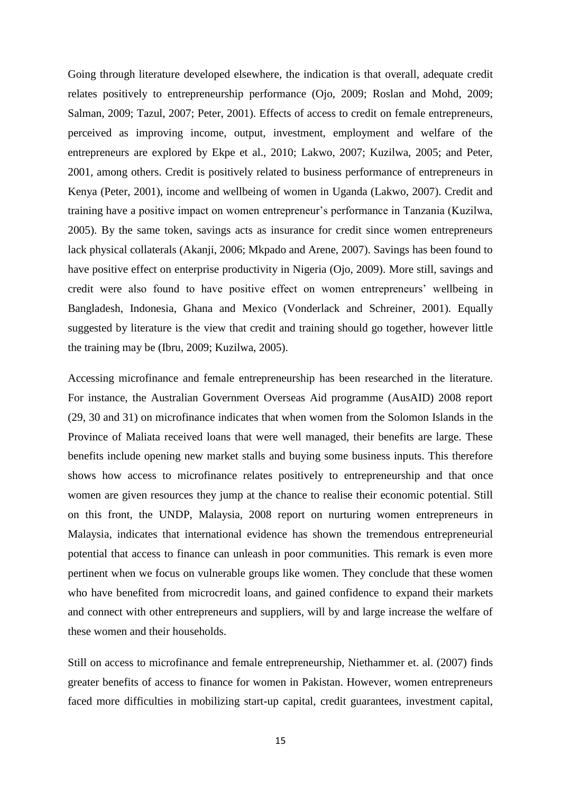Going through literature developed elsewhere, the indication is that overall, adequate credit relates positively to entrepreneurship performance (Ojo, 2009; Roslan and Mohd, 2009; Salman, 2009; Tazul, 2007; Peter, 2001). Effects of access to credit on female entrepreneurs, perceived as improving income, output, investment, employment and welfare of the entrepreneurs are explored by Ekpe et al., 2010; Lakwo, 2007; Kuzilwa, 2005; and Peter, 2001, among others. Credit is positively related to business performance of entrepreneurs in Kenya (Peter, 2001), income and wellbeing of women in Uganda (Lakwo, 2007). Credit and training have a positive impact on women entrepreneur's performance in Tanzania (Kuzilwa, 2005). By the same token, savings acts as insurance for credit since women entrepreneurs lack physical collaterals (Akanji, 2006; Mkpado and Arene, 2007). Savings has been found to have positive effect on enterprise productivity in Nigeria (Ojo, 2009). More still, savings and credit were also found to have positive effect on women entrepreneurs' wellbeing in Bangladesh, Indonesia, Ghana and Mexico (Vonderlack and Schreiner, 2001). Equally suggested by literature is the view that credit and training should go together, however little the training may be (Ibru, 2009; Kuzilwa, 2005).

Accessing microfinance and female entrepreneurship has been researched in the literature. For instance, the Australian Government Overseas Aid programme (AusAID) 2008 report (29, 30 and 31) on microfinance indicates that when women from the Solomon Islands in the Province of Maliata received loans that were well managed, their benefits are large. These benefits include opening new market stalls and buying some business inputs. This therefore shows how access to microfinance relates positively to entrepreneurship and that once women are given resources they jump at the chance to realise their economic potential. Still on this front, the UNDP, Malaysia, 2008 report on nurturing women entrepreneurs in Malaysia, indicates that international evidence has shown the tremendous entrepreneurial potential that access to finance can unleash in poor communities. This remark is even more pertinent when we focus on vulnerable groups like women. They conclude that these women who have benefited from microcredit loans, and gained confidence to expand their markets and connect with other entrepreneurs and suppliers, will by and large increase the welfare of these women and their households.

Still on access to microfinance and female entrepreneurship, Niethammer et. al. (2007) finds greater benefits of access to finance for women in Pakistan. However, women entrepreneurs faced more difficulties in mobilizing start-up capital, credit guarantees, investment capital,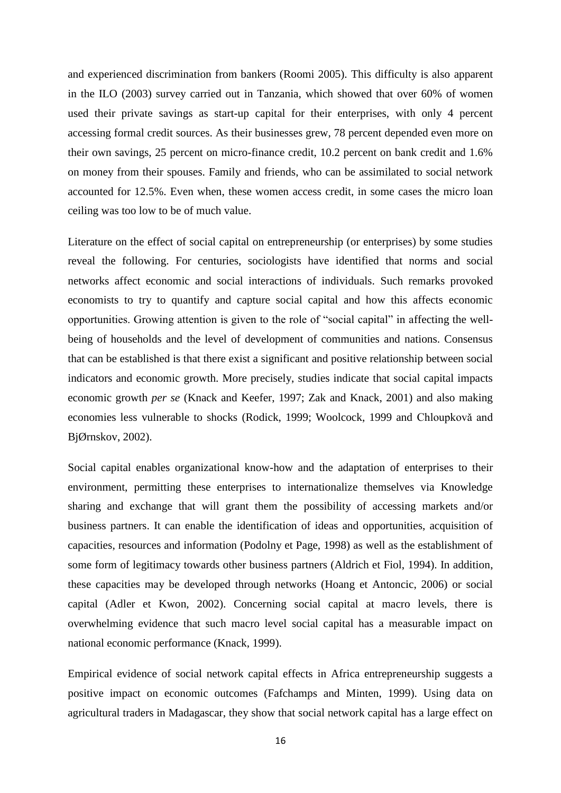and experienced discrimination from bankers (Roomi 2005). This difficulty is also apparent in the ILO (2003) survey carried out in Tanzania, which showed that over 60% of women used their private savings as start-up capital for their enterprises, with only 4 percent accessing formal credit sources. As their businesses grew, 78 percent depended even more on their own savings, 25 percent on micro-finance credit, 10.2 percent on bank credit and 1.6% on money from their spouses. Family and friends, who can be assimilated to social network accounted for 12.5%. Even when, these women access credit, in some cases the micro loan ceiling was too low to be of much value.

Literature on the effect of social capital on entrepreneurship (or enterprises) by some studies reveal the following. For centuries, sociologists have identified that norms and social networks affect economic and social interactions of individuals. Such remarks provoked economists to try to quantify and capture social capital and how this affects economic opportunities. Growing attention is given to the role of "social capital" in affecting the wellbeing of households and the level of development of communities and nations. Consensus that can be established is that there exist a significant and positive relationship between social indicators and economic growth. More precisely, studies indicate that social capital impacts economic growth *per se* (Knack and Keefer, 1997; Zak and Knack, 2001) and also making economies less vulnerable to shocks (Rodick, 1999; Woolcock, 1999 and Chloupkovǎ and BjØrnskov, 2002).

Social capital enables organizational know-how and the adaptation of enterprises to their environment, permitting these enterprises to internationalize themselves via Knowledge sharing and exchange that will grant them the possibility of accessing markets and/or business partners. It can enable the identification of ideas and opportunities, acquisition of capacities, resources and information (Podolny et Page, 1998) as well as the establishment of some form of legitimacy towards other business partners (Aldrich et Fiol, 1994). In addition, these capacities may be developed through networks (Hoang et Antoncic, 2006) or social capital (Adler et Kwon, 2002). Concerning social capital at macro levels, there is overwhelming evidence that such macro level social capital has a measurable impact on national economic performance (Knack, 1999).

Empirical evidence of social network capital effects in Africa entrepreneurship suggests a positive impact on economic outcomes (Fafchamps and Minten, 1999). Using data on agricultural traders in Madagascar, they show that social network capital has a large effect on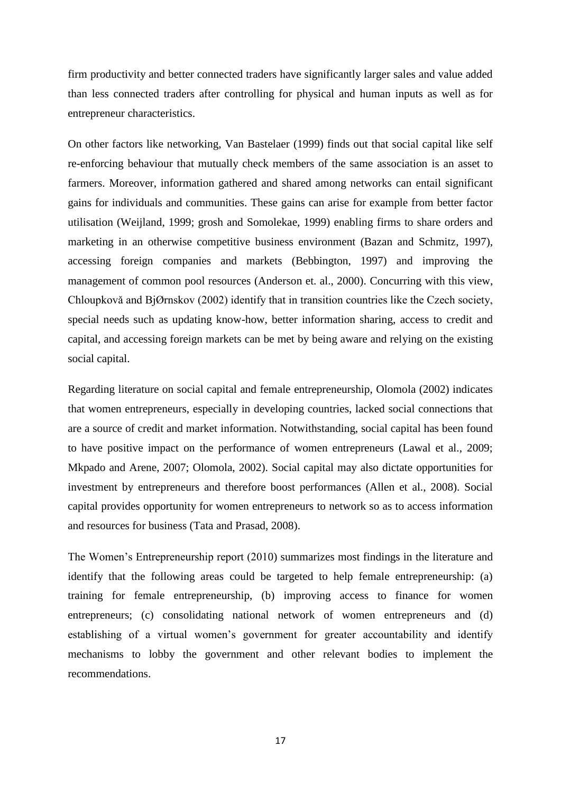firm productivity and better connected traders have significantly larger sales and value added than less connected traders after controlling for physical and human inputs as well as for entrepreneur characteristics.

On other factors like networking, Van Bastelaer (1999) finds out that social capital like self re-enforcing behaviour that mutually check members of the same association is an asset to farmers. Moreover, information gathered and shared among networks can entail significant gains for individuals and communities. These gains can arise for example from better factor utilisation (Weijland, 1999; grosh and Somolekae, 1999) enabling firms to share orders and marketing in an otherwise competitive business environment (Bazan and Schmitz, 1997), accessing foreign companies and markets (Bebbington, 1997) and improving the management of common pool resources (Anderson et. al., 2000). Concurring with this view, Chloupkovǎ and BjØrnskov (2002) identify that in transition countries like the Czech society, special needs such as updating know-how, better information sharing, access to credit and capital, and accessing foreign markets can be met by being aware and relying on the existing social capital.

Regarding literature on social capital and female entrepreneurship, Olomola (2002) indicates that women entrepreneurs, especially in developing countries, lacked social connections that are a source of credit and market information. Notwithstanding, social capital has been found to have positive impact on the performance of women entrepreneurs (Lawal et al., 2009; Mkpado and Arene, 2007; Olomola, 2002). Social capital may also dictate opportunities for investment by entrepreneurs and therefore boost performances (Allen et al., 2008). Social capital provides opportunity for women entrepreneurs to network so as to access information and resources for business (Tata and Prasad, 2008).

The Women's Entrepreneurship report (2010) summarizes most findings in the literature and identify that the following areas could be targeted to help female entrepreneurship: (a) training for female entrepreneurship, (b) improving access to finance for women entrepreneurs; (c) consolidating national network of women entrepreneurs and (d) establishing of a virtual women's government for greater accountability and identify mechanisms to lobby the government and other relevant bodies to implement the recommendations.

17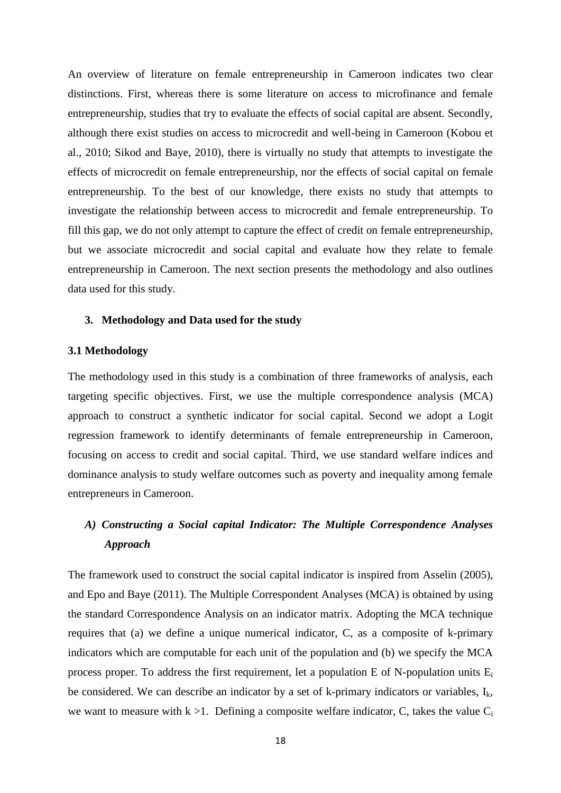An overview of literature on female entrepreneurship in Cameroon indicates two clear distinctions. First, whereas there is some literature on access to microfinance and female entrepreneurship, studies that try to evaluate the effects of social capital are absent. Secondly, although there exist studies on access to microcredit and well-being in Cameroon (Kobou et al., 2010; Sikod and Baye, 2010), there is virtually no study that attempts to investigate the effects of microcredit on female entrepreneurship, nor the effects of social capital on female entrepreneurship. To the best of our knowledge, there exists no study that attempts to investigate the relationship between access to microcredit and female entrepreneurship. To fill this gap, we do not only attempt to capture the effect of credit on female entrepreneurship, but we associate microcredit and social capital and evaluate how they relate to female entrepreneurship in Cameroon. The next section presents the methodology and also outlines data used for this study.

#### <span id="page-17-0"></span>**3. Methodology and Data used for the study**

#### <span id="page-17-1"></span>**3.1 Methodology**

The methodology used in this study is a combination of three frameworks of analysis, each targeting specific objectives. First, we use the multiple correspondence analysis (MCA) approach to construct a synthetic indicator for social capital. Second we adopt a Logit regression framework to identify determinants of female entrepreneurship in Cameroon, focusing on access to credit and social capital. Third, we use standard welfare indices and dominance analysis to study welfare outcomes such as poverty and inequality among female entrepreneurs in Cameroon.

# *A) Constructing a Social capital Indicator: The Multiple Correspondence Analyses Approach*

The framework used to construct the social capital indicator is inspired from Asselin (2005), and Epo and Baye (2011). The Multiple Correspondent Analyses (MCA) is obtained by using the standard Correspondence Analysis on an indicator matrix. Adopting the MCA technique requires that (a) we define a unique numerical indicator, C, as a composite of k-primary indicators which are computable for each unit of the population and (b) we specify the MCA process proper. To address the first requirement, let a population E of N-population units  $E_i$ be considered. We can describe an indicator by a set of k-primary indicators or variables,  $I_k$ , we want to measure with  $k > 1$ . Defining a composite welfare indicator, C, takes the value C<sub>i</sub>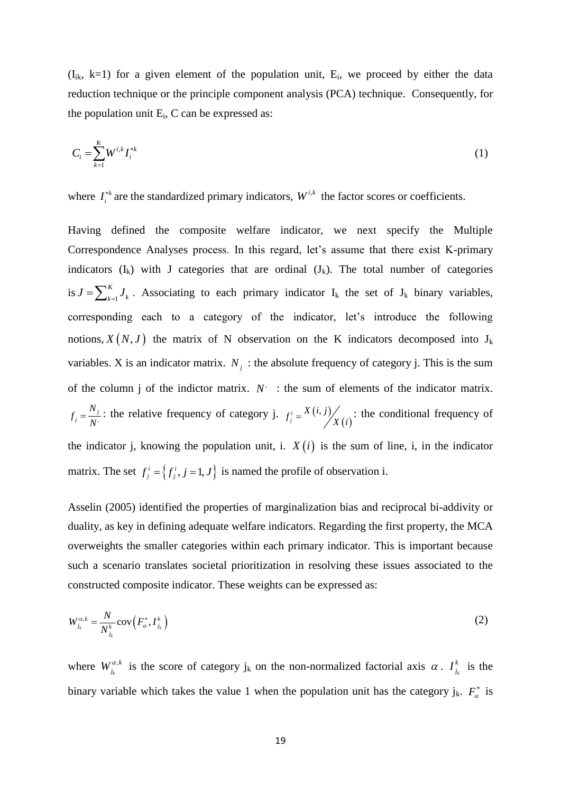$(I_{ik}, k=1)$  for a given element of the population unit,  $E_i$ , we proceed by either the data reduction technique or the principle component analysis (PCA) technique. Consequently, for the population unit  $E_i$ , C can be expressed as:

$$
C_i = \sum_{k=1}^{K} W^{i,k} I_i^{*k}
$$
 (1)

where  $I_i^{*k}$  $I_i^{*k}$  are the standardized primary indicators,  $W^{i,k}$  the factor scores or coefficients.

Having defined the composite welfare indicator, we next specify the Multiple Correspondence Analyses process. In this regard, let's assume that there exist K-primary indicators  $(I_k)$  with J categories that are ordinal  $(J_k)$ . The total number of categories is  $J = \sum_{k=1}^{N}$ *K*  $J = \sum_{k=1}^{K} J_k$ . Associating to each primary indicator I<sub>k</sub> the set of J<sub>k</sub> binary variables, corresponding each to a category of the indicator, let's introduce the following notions,  $X(N, J)$  the matrix of N observation on the K indicators decomposed into J<sub>k</sub> variables. X is an indicator matrix.  $N_j$ : the absolute frequency of category j. This is the sum of the column j of the indictor matrix.  $N^+$  : the sum of elements of the indicator matrix. ,  $j = \frac{N}{N}$  $f_i = \frac{N}{l}$ *N*  $=\frac{N_j}{N}$ : the relative frequency of category j.  $f_i^i = X(i, j)$  $(i)$  $f_j^i = \frac{X(i, j)}{X(i)}$ : the conditional frequency of the indicator j, knowing the population unit, i.  $X(i)$  is the sum of line, i, in the indicator matrix. The set  $f_j^i = \{f_j^i, j = 1, J\}$  is named the profile of observation i.

Asselin (2005) identified the properties of marginalization bias and reciprocal bi-addivity or duality, as key in defining adequate welfare indicators. Regarding the first property, the MCA overweights the smaller categories within each primary indicator. This is important because such a scenario translates societal prioritization in resolving these issues associated to the constructed composite indicator. These weights can be expressed as:

$$
W_{j_k}^{\alpha,k} = \frac{N}{N_{j_k}^k} \text{cov}\left(F_{\alpha}^*, I_{j_k}^k\right) \tag{2}
$$

where  $W_i^{\alpha}$ ,  $W_{j_k}^{\alpha,k}$  is the score of category  $j_k$  on the non-normalized factorial axis  $\alpha$ .  $I_{j_k}^k$ *k*  $I_{i}^{k}$  is the binary variable which takes the value 1 when the population unit has the category j<sub>k</sub>.  $F_{\alpha}^*$  is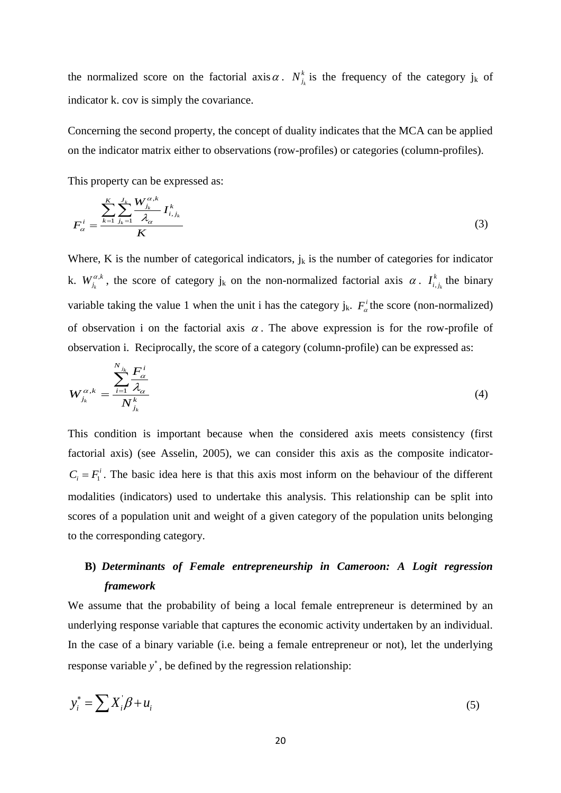the normalized score on the factorial axis  $\alpha$ .  $N^k_{i_k}$  is the frequency of the category  $j_k$  of indicator k. cov is simply the covariance.

Concerning the second property, the concept of duality indicates that the MCA can be applied on the indicator matrix either to observations (row-profiles) or categories (column-profiles).

This property can be expressed as:

$$
F_{\alpha}^{i} = \frac{\sum_{k=1}^{K} \sum_{j_{k}=1}^{J_{k}} \frac{W_{j_{k}}^{\alpha,k}}{\lambda_{\alpha}} I_{i,j_{k}}^{k}}{K}
$$
(3)

Where, K is the number of categorical indicators,  $j_k$  is the number of categories for indicator k.  $W_i^{\alpha}$  $W_{j_k}^{\alpha,k}$ , the score of category  $j_k$  on the non-normalized factorial axis  $\alpha$ .  $I_{i,j_k}^k$  $I_{i,j_k}^k$  the binary variable taking the value 1 when the unit i has the category  $j_k$ .  $F^i_\alpha$  the score (non-normalized) of observation i on the factorial axis  $\alpha$ . The above expression is for the row-profile of observation i. Reciprocally, the score of a category (column-profile) can be expressed as:

$$
W_{j_k}^{\alpha,k} = \frac{\sum_{i=1}^{N_{j_k}} \frac{F_{\alpha}^i}{\lambda_{\alpha}}}{N_{j_k}^k} \tag{4}
$$

This condition is important because when the considered axis meets consistency (first factorial axis) (see Asselin, 2005), we can consider this axis as the composite indicator- $C_i = F_i^i$ . The basic idea here is that this axis most inform on the behaviour of the different modalities (indicators) used to undertake this analysis. This relationship can be split into scores of a population unit and weight of a given category of the population units belonging to the corresponding category.

# **B)** *Determinants of Female entrepreneurship in Cameroon: A Logit regression framework*

We assume that the probability of being a local female entrepreneur is determined by an underlying response variable that captures the economic activity undertaken by an individual. In the case of a binary variable (i.e. being a female entrepreneur or not), let the underlying response variable *y* , be defined by the regression relationship:

$$
y_i^* = \sum X_i' \beta + u_i \tag{5}
$$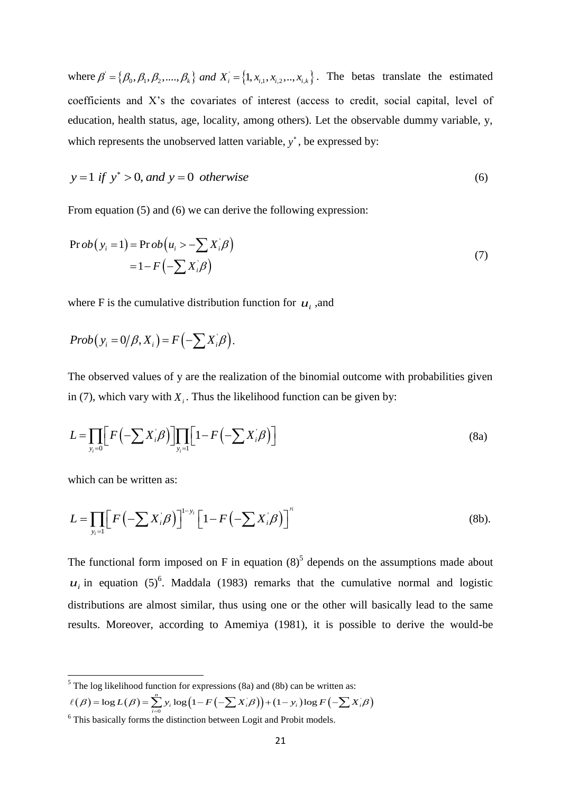where  $\beta' = {\beta_0, \beta_1, \beta_2, ..., \beta_k}$  and  $X_i = {1, x_{i,1}, x_{i,2}, ..., x_{i,k}}$ .  $\beta = {\beta_0, \beta_1, \beta_2, ..., \beta_k}$  and  $X_i = {1, x_{i,1}, x_{i,2}, ..., x_{i,k}}$ . The betas translate the estimated coefficients and X's the covariates of interest (access to credit, social capital, level of education, health status, age, locality, among others). Let the observable dummy variable, y, which represents the unobserved latten variable,  $y^*$ , be expressed by:

$$
y = 1 \text{ if } y^* > 0, \text{ and } y = 0 \text{ otherwise}
$$
 (6)

From equation (5) and (6) we can derive the following expression:

$$
\Pr ob(y_i = 1) = \Pr ob(u_i > -\sum X_i \beta)
$$
  
= 1 - F\left(-\sum X\_i \beta\right) (7)

where F is the cumulative distribution function for  $u_i$ , and

$$
Prob(y_i = 0/\beta, X_i) = F(-\sum X_i/\beta).
$$

The observed values of y are the realization of the binomial outcome with probabilities given in (7), which vary with  $X_i$ . Thus the likelihood function can be given by:

$$
L = \prod_{y_i=0} \Big[ F\Big(-\sum X_i \beta\Big) \Big] \prod_{y_i=1} \Big[ 1 - F\Big(-\sum X_i \beta\Big) \Big]
$$
(8a)

which can be written as:

1

which can be written as:  
\n
$$
L = \prod_{y_i=1} \Big[ F\Big(-\sum X_i \beta\Big) \Big]^{1-y_i} \Big[1 - F\Big(-\sum X_i \beta\Big) \Big]^{y_i}
$$
\n(8b).

The functional form imposed on F in equation  $(8)^5$  depends on the assumptions made about  $u_i$  in equation (5)<sup>6</sup>. Maddala (1983) remarks that the cumulative normal and logistic distributions are almost similar, thus using one or the other will basically lead to the same results. Moreover, according to Amemiya (1981), it is possible to derive the would-be

<sup>5</sup> The log likelihood function for expressions (8a) and (8b) can be written as:  
\n
$$
\ell(\beta) = \log L(\beta) = \sum_{i=0}^{n} y_i \log (1 - F(-\sum X_i/\beta)) + (1 - y_i) \log F(-\sum X_i/\beta)
$$
\n<sup>6</sup> This basically forms the distinction between I out and Probit models

<sup>&</sup>lt;sup>6</sup> This basically forms the distinction between Logit and Probit models.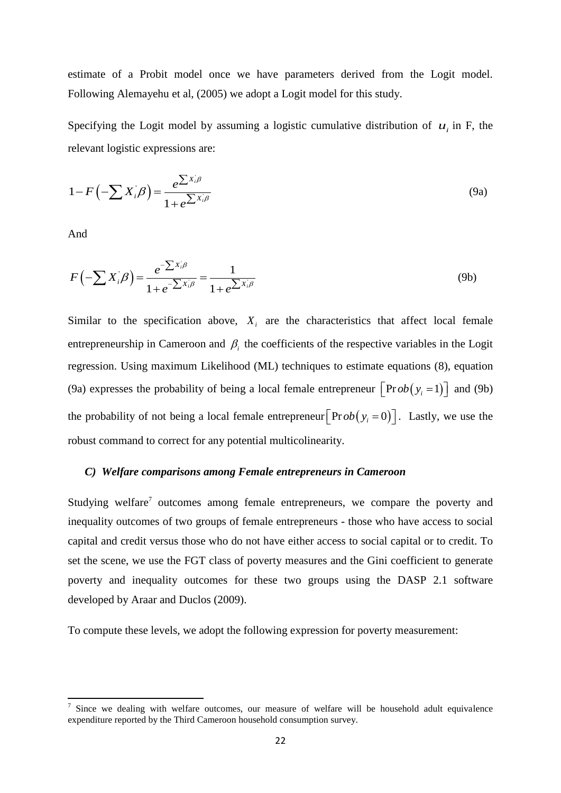estimate of a Probit model once we have parameters derived from the Logit model. Following Alemayehu et al, (2005) we adopt a Logit model for this study.

Specifying the Logit model by assuming a logistic cumulative distribution of  $u_i$  in F, the relevant logistic expressions are:

$$
1 - F\left(-\sum X_i \beta\right) = \frac{e^{\sum X_i \beta}}{1 + e^{\sum X_i \beta}}
$$
\n(9a)

And

**.** 

$$
F\left(-\sum X_{i}^{'}\beta\right) = \frac{e^{-\sum X_{i}\beta}}{1 + e^{-\sum X_{i}\beta}} = \frac{1}{1 + e^{\sum X_{i}\beta}}
$$
(9b)

Similar to the specification above,  $X_i$  are the characteristics that affect local female entrepreneurship in Cameroon and  $\beta$ <sub>i</sub> the coefficients of the respective variables in the Logit regression. Using maximum Likelihood (ML) techniques to estimate equations (8), equation (9a) expresses the probability of being a local female entrepreneur  $\left[ \text{Pr} ob(y_i = 1) \right]$  and (9b) the probability of not being a local female entrepreneur  $\left[ \text{Prob} (y_i = 0) \right]$ . Lastly, we use the robust command to correct for any potential multicolinearity.

# *C) Welfare comparisons among Female entrepreneurs in Cameroon*

Studying welfare<sup>7</sup> outcomes among female entrepreneurs, we compare the poverty and inequality outcomes of two groups of female entrepreneurs - those who have access to social capital and credit versus those who do not have either access to social capital or to credit. To set the scene, we use the FGT class of poverty measures and the Gini coefficient to generate poverty and inequality outcomes for these two groups using the DASP 2.1 software developed by Araar and Duclos (2009).

To compute these levels, we adopt the following expression for poverty measurement:

<sup>7</sup> Since we dealing with welfare outcomes, our measure of welfare will be household adult equivalence expenditure reported by the Third Cameroon household consumption survey.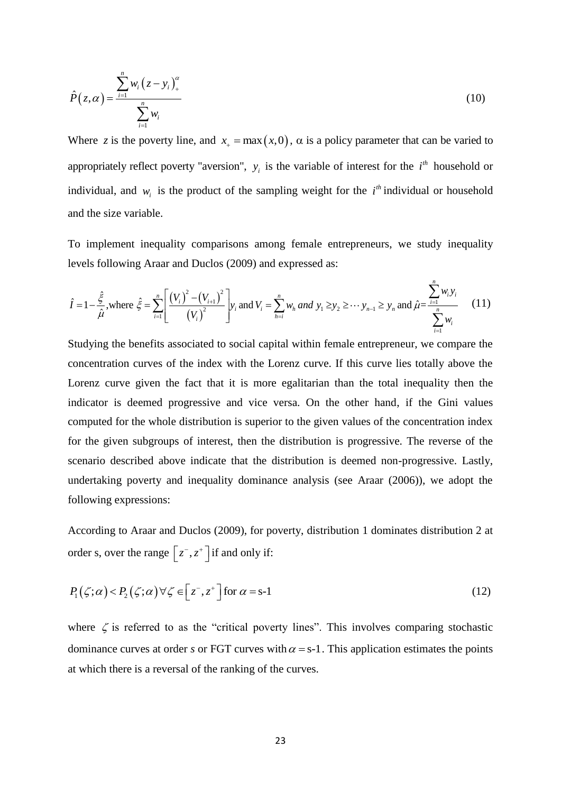$$
\hat{P}(z,\alpha) = \frac{\sum_{i=1}^{n} w_i (z - y_i)_+^{\alpha}}{\sum_{i=1}^{n} w_i}
$$
\n(10)

Where z is the poverty line, and  $x_+ = \max(x,0)$ ,  $\alpha$  is a policy parameter that can be varied to appropriately reflect poverty "aversion",  $y_i$  is the variable of interest for the  $i<sup>th</sup>$  household or individual, and  $w_i$  is the product of the sampling weight for the  $i<sup>th</sup>$  individual or household and the size variable.

To implement inequality comparisons among female entrepreneurs, we study inequality<br>levels following Araar and Duclos (2009) and expressed as:<br> $\hat{I} = 1 - \frac{\hat{\xi}}{\hat{\mu}}$ , where  $\hat{\xi} = \sum_{i=1}^{n} \left[ \frac{(V_i)^2 - (V_{i+1})^2}{(V_i)^2} \right]$ 

*n*

To implement inequality comparisons among female antrepreneurs, we study inequality  
levels following Araar and Duclos (2009) and expressed as:  

$$
\hat{I} = 1 - \frac{\hat{\xi}}{\hat{\mu}}, \text{where } \hat{\xi} = \sum_{i=1}^{n} \left[ \frac{(V_i)^2 - (V_{i+1})^2}{(V_i)^2} \right] y_i \text{ and } V_i = \sum_{h=i}^{n} w_h \text{ and } y_1 \geq y_2 \geq \cdots y_{n-1} \geq y_n \text{ and } \hat{\mu} = \frac{\sum_{i=1}^{n} w_i y_i}{\sum_{i=1}^{n} w_i}
$$
(11)

Studying the benefits associated to social capital within female entrepreneur, we compare the concentration curves of the index with the Lorenz curve. If this curve lies totally above the Lorenz curve given the fact that it is more egalitarian than the total inequality then the indicator is deemed progressive and vice versa. On the other hand, if the Gini values computed for the whole distribution is superior to the given values of the concentration index for the given subgroups of interest, then the distribution is progressive. The reverse of the scenario described above indicate that the distribution is deemed non-progressive. Lastly, undertaking poverty and inequality dominance analysis (see Araar (2006)), we adopt the following expressions:

According to Araar and Duclos (2009), for poverty, distribution 1 dominates distribution 2 at order s, over the range  $\left[ z^{-}, z^{+} \right]$  if and only if:

$$
P_1(\zeta;\alpha) < P_2(\zeta;\alpha) \,\forall \zeta \in \left[z^-, z^+\right] \text{ for } \alpha = s-1 \tag{12}
$$

where  $\zeta$  is referred to as the "critical poverty lines". This involves comparing stochastic dominance curves at order *s* or FGT curves with  $\alpha = s-1$ . This application estimates the points at which there is a reversal of the ranking of the curves.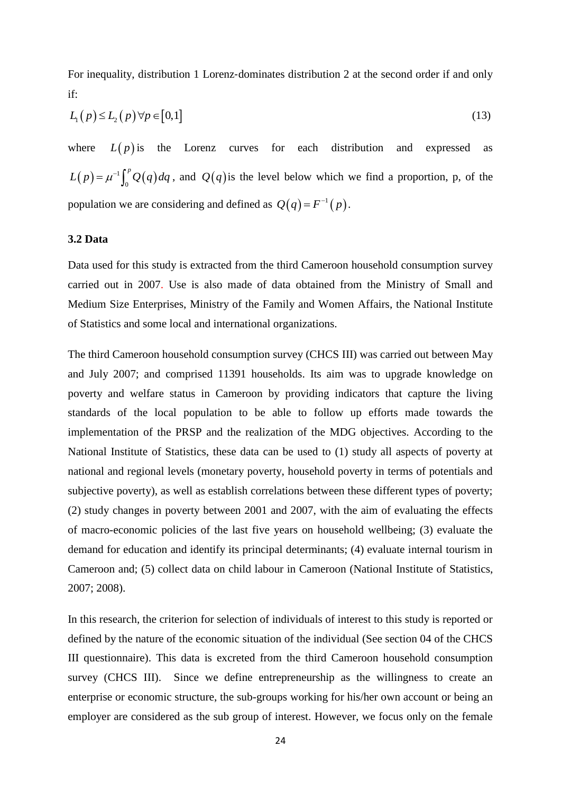For inequality, distribution 1 Lorenz-dominates distribution 2 at the second order if and only if:

$$
L_1(p) \le L_2(p) \forall p \in [0,1]
$$
\n
$$
(13)
$$

where  $L(p)$  is the Lorenz curves for each distribution and expressed as  $(p) = \mu^{-1} \int_{0}^{p} Q(q)$  $\mathbf{0}$  $L(p) = \mu^{-1} \int_0^p Q(q) dq$ , and  $Q(q)$  is the level below which we find a proportion, p, of the population we are considering and defined as  $Q(q) = F^{-1}(p)$ .

# <span id="page-23-0"></span>**3.2 Data**

Data used for this study is extracted from the third Cameroon household consumption survey carried out in 2007. Use is also made of data obtained from the Ministry of Small and Medium Size Enterprises, Ministry of the Family and Women Affairs, the National Institute of Statistics and some local and international organizations.

The third Cameroon household consumption survey (CHCS III) was carried out between May and July 2007; and comprised 11391 households. Its aim was to upgrade knowledge on poverty and welfare status in Cameroon by providing indicators that capture the living standards of the local population to be able to follow up efforts made towards the implementation of the PRSP and the realization of the MDG objectives. According to the National Institute of Statistics, these data can be used to (1) study all aspects of poverty at national and regional levels (monetary poverty, household poverty in terms of potentials and subjective poverty), as well as establish correlations between these different types of poverty; (2) study changes in poverty between 2001 and 2007, with the aim of evaluating the effects of macro-economic policies of the last five years on household wellbeing; (3) evaluate the demand for education and identify its principal determinants; (4) evaluate internal tourism in Cameroon and; (5) collect data on child labour in Cameroon (National Institute of Statistics, 2007; 2008).

In this research, the criterion for selection of individuals of interest to this study is reported or defined by the nature of the economic situation of the individual (See section 04 of the CHCS III questionnaire). This data is excreted from the third Cameroon household consumption survey (CHCS III). Since we define entrepreneurship as the willingness to create an enterprise or economic structure, the sub-groups working for his/her own account or being an employer are considered as the sub group of interest. However, we focus only on the female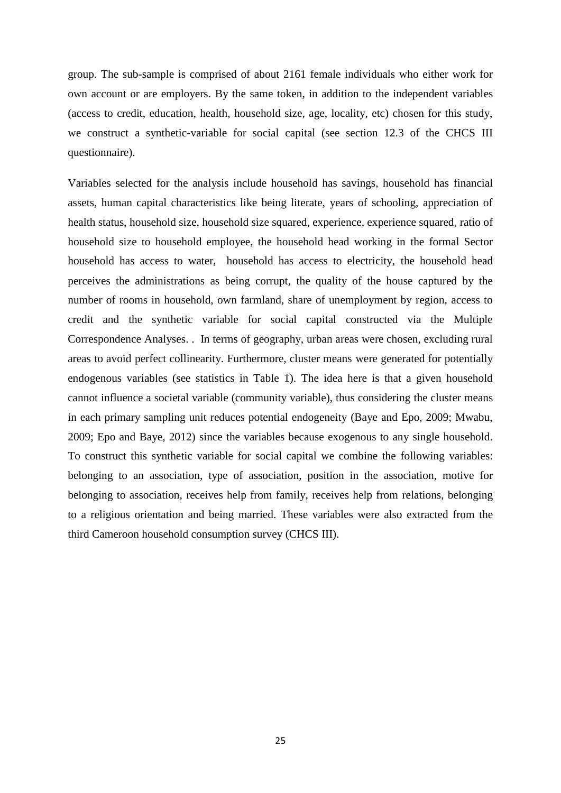group. The sub-sample is comprised of about 2161 female individuals who either work for own account or are employers. By the same token, in addition to the independent variables (access to credit, education, health, household size, age, locality, etc) chosen for this study, we construct a synthetic-variable for social capital (see section 12.3 of the CHCS III questionnaire).

Variables selected for the analysis include household has savings, household has financial assets, human capital characteristics like being literate, years of schooling, appreciation of health status, household size, household size squared, experience, experience squared, ratio of household size to household employee, the household head working in the formal Sector household has access to water, household has access to electricity, the household head perceives the administrations as being corrupt, the quality of the house captured by the number of rooms in household, own farmland, share of unemployment by region, access to credit and the synthetic variable for social capital constructed via the Multiple Correspondence Analyses. . In terms of geography, urban areas were chosen, excluding rural areas to avoid perfect collinearity. Furthermore, cluster means were generated for potentially endogenous variables (see statistics in Table 1). The idea here is that a given household cannot influence a societal variable (community variable), thus considering the cluster means in each primary sampling unit reduces potential endogeneity (Baye and Epo, 2009; Mwabu, 2009; Epo and Baye, 2012) since the variables because exogenous to any single household. To construct this synthetic variable for social capital we combine the following variables: belonging to an association, type of association, position in the association, motive for belonging to association, receives help from family, receives help from relations, belonging to a religious orientation and being married. These variables were also extracted from the third Cameroon household consumption survey (CHCS III).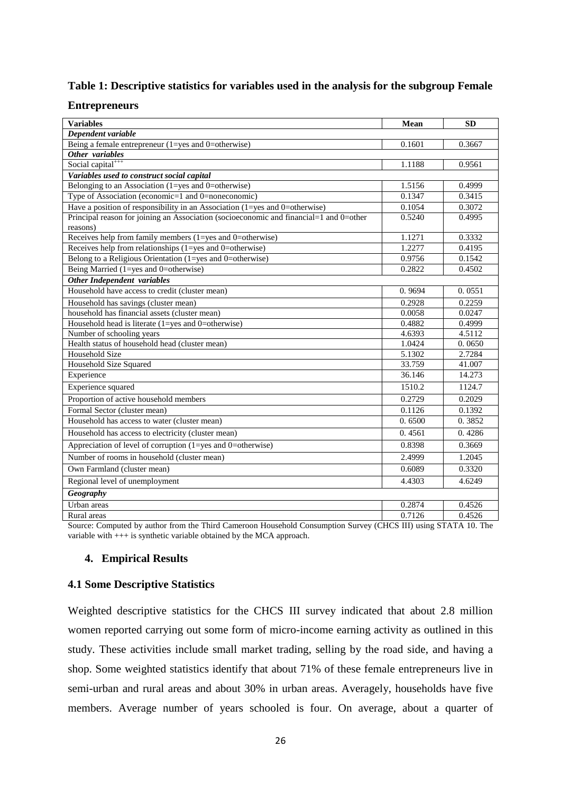# **Table 1: Descriptive statistics for variables used in the analysis for the subgroup Female**

# **Entrepreneurs**

| <b>Variables</b>                                                                       | Mean   | <b>SD</b> |  |  |  |
|----------------------------------------------------------------------------------------|--------|-----------|--|--|--|
| Dependent variable                                                                     |        |           |  |  |  |
| Being a female entrepreneur (1=yes and 0=otherwise)                                    | 0.1601 | 0.3667    |  |  |  |
| Other variables                                                                        |        |           |  |  |  |
| Social capital <sup>+++</sup>                                                          | 1.1188 | 0.9561    |  |  |  |
| Variables used to construct social capital                                             |        |           |  |  |  |
| Belonging to an Association (1=yes and 0=otherwise)                                    | 1.5156 | 0.4999    |  |  |  |
| Type of Association (economic=1 and 0=noneconomic)                                     | 0.1347 | 0.3415    |  |  |  |
| Have a position of responsibility in an Association (1=yes and 0=otherwise)            | 0.1054 | 0.3072    |  |  |  |
| Principal reason for joining an Association (socioeconomic and financial=1 and 0=other | 0.5240 | 0.4995    |  |  |  |
| reasons)                                                                               |        |           |  |  |  |
| Receives help from family members (1=yes and 0=otherwise)                              | 1.1271 | 0.3332    |  |  |  |
| Receives help from relationships $(1 = yes \text{ and } 0 = otherwise)$                | 1.2277 | 0.4195    |  |  |  |
| Belong to a Religious Orientation (1=yes and 0=otherwise)                              | 0.9756 | 0.1542    |  |  |  |
| Being Married (1=yes and 0=otherwise)                                                  | 0.2822 | 0.4502    |  |  |  |
| Other Independent variables                                                            |        |           |  |  |  |
| Household have access to credit (cluster mean)                                         | 0.9694 | 0.0551    |  |  |  |
| Household has savings (cluster mean)                                                   | 0.2928 | 0.2259    |  |  |  |
| household has financial assets (cluster mean)                                          | 0.0058 | 0.0247    |  |  |  |
| Household head is literate (1=yes and 0=otherwise)                                     | 0.4882 | 0.4999    |  |  |  |
| Number of schooling years                                                              | 4.6393 | 4.5112    |  |  |  |
| Health status of household head (cluster mean)                                         | 1.0424 | 0.0650    |  |  |  |
| Household Size                                                                         | 5.1302 | 2.7284    |  |  |  |
| Household Size Squared                                                                 | 33.759 | 41.007    |  |  |  |
| Experience                                                                             | 36.146 | 14.273    |  |  |  |
| Experience squared                                                                     | 1510.2 | 1124.7    |  |  |  |
| Proportion of active household members                                                 | 0.2729 | 0.2029    |  |  |  |
| Formal Sector (cluster mean)                                                           | 0.1126 | 0.1392    |  |  |  |
| Household has access to water (cluster mean)                                           | 0.6500 | 0.3852    |  |  |  |
| Household has access to electricity (cluster mean)                                     | 0.4561 | 0.4286    |  |  |  |
| Appreciation of level of corruption $(1 = yes \text{ and } 0 = otherwise)$             | 0.8398 | 0.3669    |  |  |  |
| Number of rooms in household (cluster mean)                                            | 2.4999 | 1.2045    |  |  |  |
| Own Farmland (cluster mean)                                                            | 0.6089 | 0.3320    |  |  |  |
| Regional level of unemployment                                                         | 4.4303 | 4.6249    |  |  |  |
| <b>Geography</b>                                                                       |        |           |  |  |  |
| Urban areas                                                                            | 0.2874 | 0.4526    |  |  |  |
| Rural areas                                                                            | 0.7126 | 0.4526    |  |  |  |

<span id="page-25-0"></span>Source: Computed by author from the Third Cameroon Household Consumption Survey (CHCS III) using STATA 10. The variable with  $++$  is synthetic variable obtained by the MCA approach.

# **4. Empirical Results**

# <span id="page-25-1"></span>**4.1 Some Descriptive Statistics**

Weighted descriptive statistics for the CHCS III survey indicated that about 2.8 million women reported carrying out some form of micro-income earning activity as outlined in this study. These activities include small market trading, selling by the road side, and having a shop. Some weighted statistics identify that about 71% of these female entrepreneurs live in semi-urban and rural areas and about 30% in urban areas. Averagely, households have five members. Average number of years schooled is four. On average, about a quarter of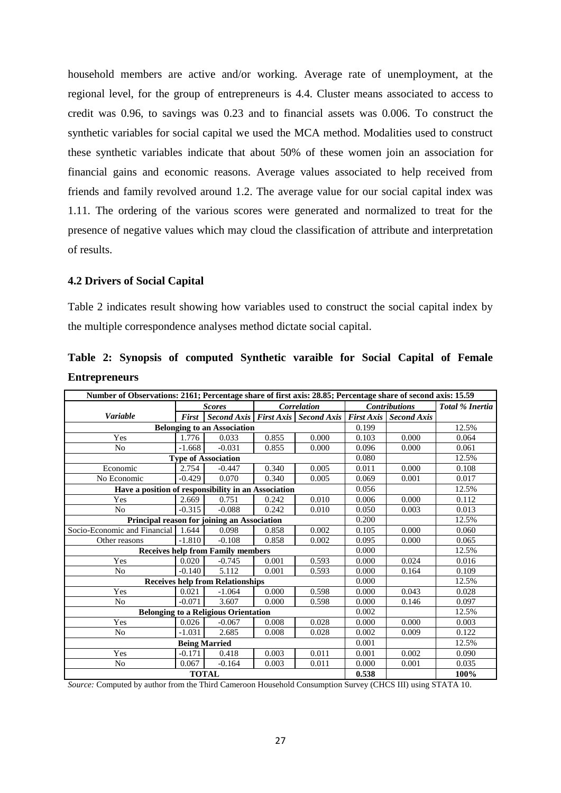household members are active and/or working. Average rate of unemployment, at the regional level, for the group of entrepreneurs is 4.4. Cluster means associated to access to credit was 0.96, to savings was 0.23 and to financial assets was 0.006. To construct the synthetic variables for social capital we used the MCA method. Modalities used to construct these synthetic variables indicate that about 50% of these women join an association for financial gains and economic reasons. Average values associated to help received from friends and family revolved around 1.2. The average value for our social capital index was 1.11. The ordering of the various scores were generated and normalized to treat for the presence of negative values which may cloud the classification of attribute and interpretation of results.

# <span id="page-26-0"></span>**4.2 Drivers of Social Capital**

Table 2 indicates result showing how variables used to construct the social capital index by the multiple correspondence analyses method dictate social capital.

| Number of Observations: 2161; Percentage share of first axis: 28.85; Percentage share of second axis: 15.59 |               |                                                                   |       |                    |       |                      |                 |
|-------------------------------------------------------------------------------------------------------------|---------------|-------------------------------------------------------------------|-------|--------------------|-------|----------------------|-----------------|
|                                                                                                             | <b>Scores</b> |                                                                   |       | <b>Correlation</b> |       | <b>Contributions</b> | Total % Inertia |
| Variable                                                                                                    | <b>First</b>  | Second Axis   First Axis   Second Axis   First Axis   Second Axis |       |                    |       |                      |                 |
| <b>Belonging to an Association</b>                                                                          |               |                                                                   |       |                    |       |                      | 12.5%           |
| Yes                                                                                                         | 1.776         | 0.033                                                             | 0.855 | 0.000              | 0.103 | 0.000                | 0.064           |
| N <sub>0</sub>                                                                                              | $-1.668$      | $-0.031$                                                          | 0.855 | 0.000              | 0.096 | 0.000                | 0.061           |
|                                                                                                             |               | <b>Type of Association</b>                                        |       |                    | 0.080 |                      | 12.5%           |
| Economic                                                                                                    | 2.754         | $-0.447$                                                          | 0.340 | 0.005              | 0.011 | 0.000                | 0.108           |
| No Economic                                                                                                 | $-0.429$      | 0.070                                                             | 0.340 | 0.005              | 0.069 | 0.001                | 0.017           |
| Have a position of responsibility in an Association                                                         |               |                                                                   |       |                    | 0.056 |                      | 12.5%           |
| Yes                                                                                                         | 2.669         | 0.751                                                             | 0.242 | 0.010              | 0.006 | 0.000                | 0.112           |
| N <sub>0</sub>                                                                                              | $-0.315$      | $-0.088$                                                          | 0.242 | 0.010              | 0.050 | 0.003                | 0.013           |
|                                                                                                             |               | Principal reason for joining an Association                       |       |                    | 0.200 |                      | 12.5%           |
| Socio-Economic and Financial                                                                                | 1.644         | 0.098                                                             | 0.858 | 0.002              | 0.105 | 0.000                | 0.060           |
| Other reasons                                                                                               | $-1.810$      | $-0.108$                                                          | 0.858 | 0.002              | 0.095 | 0.000                | 0.065           |
|                                                                                                             |               | <b>Receives help from Family members</b>                          |       |                    | 0.000 |                      | 12.5%           |
| Yes                                                                                                         | 0.020         | $-0.745$                                                          | 0.001 | 0.593              | 0.000 | 0.024                | 0.016           |
| N <sub>0</sub>                                                                                              | $-0.140$      | 5.112                                                             | 0.001 | 0.593              | 0.000 | 0.164                | 0.109           |
|                                                                                                             |               | <b>Receives help from Relationships</b>                           |       |                    | 0.000 |                      | 12.5%           |
| Yes                                                                                                         | 0.021         | $-1.064$                                                          | 0.000 | 0.598              | 0.000 | 0.043                | 0.028           |
| N <sub>o</sub>                                                                                              | $-0.071$      | 3.607                                                             | 0.000 | 0.598              | 0.000 | 0.146                | 0.097           |
| <b>Belonging to a Religious Orientation</b>                                                                 | 0.002         |                                                                   | 12.5% |                    |       |                      |                 |
| Yes                                                                                                         | 0.026         | $-0.067$                                                          | 0.008 | 0.028              | 0.000 | 0.000                | 0.003           |
| N <sub>0</sub>                                                                                              | $-1.031$      | 2.685                                                             | 0.008 | 0.028              | 0.002 | 0.009                | 0.122           |
| <b>Being Married</b>                                                                                        |               |                                                                   |       |                    |       |                      | 12.5%           |
| Yes                                                                                                         | $-0.171$      | 0.418                                                             | 0.003 | 0.011              | 0.001 | 0.002                | 0.090           |
| No                                                                                                          | 0.067         | $-0.164$                                                          | 0.003 | 0.011              | 0.000 | 0.001                | 0.035           |
| <b>TOTAL</b>                                                                                                |               |                                                                   |       |                    |       |                      | 100%            |

**Table 2: Synopsis of computed Synthetic varaible for Social Capital of Female Entrepreneurs**

*Source:* Computed by author from the Third Cameroon Household Consumption Survey (CHCS III) using STATA 10.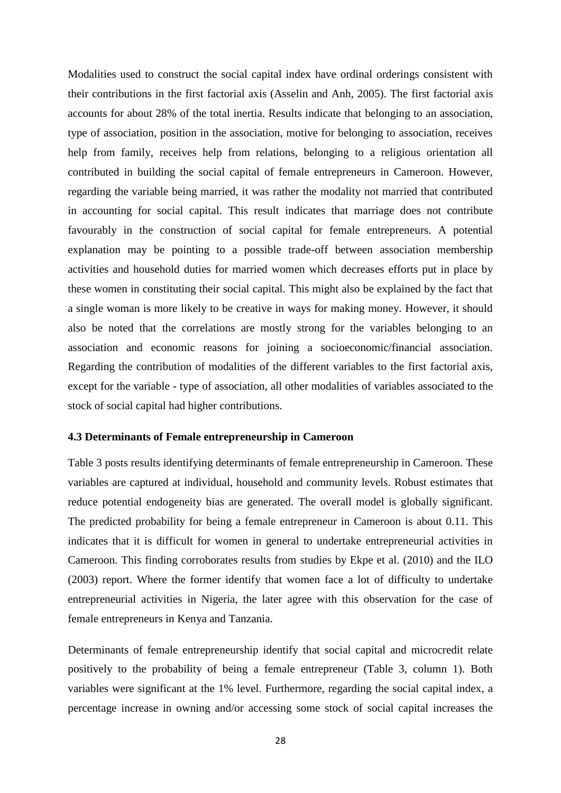Modalities used to construct the social capital index have ordinal orderings consistent with their contributions in the first factorial axis (Asselin and Anh, 2005). The first factorial axis accounts for about 28% of the total inertia. Results indicate that belonging to an association, type of association, position in the association, motive for belonging to association, receives help from family, receives help from relations, belonging to a religious orientation all contributed in building the social capital of female entrepreneurs in Cameroon. However, regarding the variable being married, it was rather the modality not married that contributed in accounting for social capital. This result indicates that marriage does not contribute favourably in the construction of social capital for female entrepreneurs. A potential explanation may be pointing to a possible trade-off between association membership activities and household duties for married women which decreases efforts put in place by these women in constituting their social capital. This might also be explained by the fact that a single woman is more likely to be creative in ways for making money. However, it should also be noted that the correlations are mostly strong for the variables belonging to an association and economic reasons for joining a socioeconomic/financial association. Regarding the contribution of modalities of the different variables to the first factorial axis, except for the variable - type of association, all other modalities of variables associated to the stock of social capital had higher contributions.

# <span id="page-27-0"></span>**4.3 Determinants of Female entrepreneurship in Cameroon**

Table 3 posts results identifying determinants of female entrepreneurship in Cameroon. These variables are captured at individual, household and community levels. Robust estimates that reduce potential endogeneity bias are generated. The overall model is globally significant. The predicted probability for being a female entrepreneur in Cameroon is about 0.11. This indicates that it is difficult for women in general to undertake entrepreneurial activities in Cameroon. This finding corroborates results from studies by Ekpe et al. (2010) and the ILO (2003) report. Where the former identify that women face a lot of difficulty to undertake entrepreneurial activities in Nigeria, the later agree with this observation for the case of female entrepreneurs in Kenya and Tanzania.

Determinants of female entrepreneurship identify that social capital and microcredit relate positively to the probability of being a female entrepreneur (Table 3, column 1). Both variables were significant at the 1% level. Furthermore, regarding the social capital index, a percentage increase in owning and/or accessing some stock of social capital increases the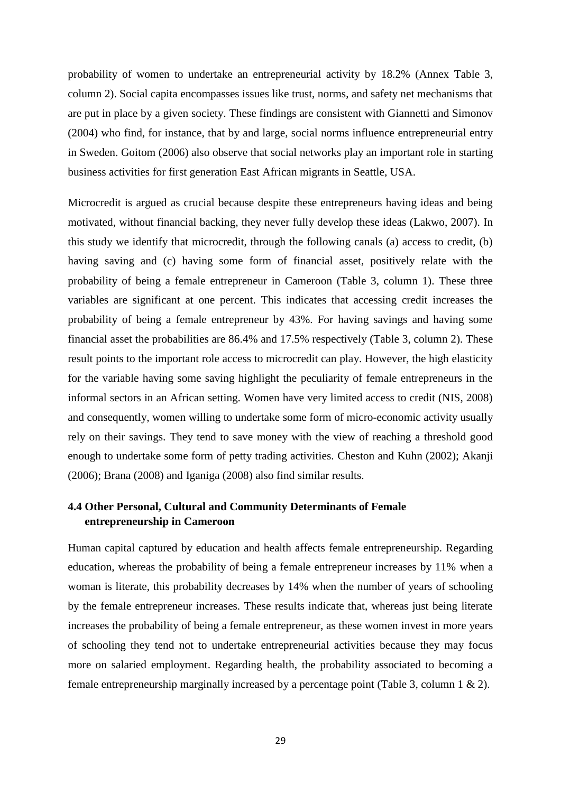probability of women to undertake an entrepreneurial activity by 18.2% (Annex Table 3, column 2). Social capita encompasses issues like trust, norms, and safety net mechanisms that are put in place by a given society. These findings are consistent with Giannetti and Simonov (2004) who find, for instance, that by and large, social norms influence entrepreneurial entry in Sweden. Goitom (2006) also observe that social networks play an important role in starting business activities for first generation East African migrants in Seattle, USA.

Microcredit is argued as crucial because despite these entrepreneurs having ideas and being motivated, without financial backing, they never fully develop these ideas (Lakwo, 2007). In this study we identify that microcredit, through the following canals (a) access to credit, (b) having saving and (c) having some form of financial asset, positively relate with the probability of being a female entrepreneur in Cameroon (Table 3, column 1). These three variables are significant at one percent. This indicates that accessing credit increases the probability of being a female entrepreneur by 43%. For having savings and having some financial asset the probabilities are 86.4% and 17.5% respectively (Table 3, column 2). These result points to the important role access to microcredit can play. However, the high elasticity for the variable having some saving highlight the peculiarity of female entrepreneurs in the informal sectors in an African setting. Women have very limited access to credit (NIS, 2008) and consequently, women willing to undertake some form of micro-economic activity usually rely on their savings. They tend to save money with the view of reaching a threshold good enough to undertake some form of petty trading activities. Cheston and Kuhn (2002); Akanji (2006); Brana (2008) and Iganiga (2008) also find similar results.

# <span id="page-28-0"></span>**4.4 Other Personal, Cultural and Community Determinants of Female entrepreneurship in Cameroon**

Human capital captured by education and health affects female entrepreneurship. Regarding education, whereas the probability of being a female entrepreneur increases by 11% when a woman is literate, this probability decreases by 14% when the number of years of schooling by the female entrepreneur increases. These results indicate that, whereas just being literate increases the probability of being a female entrepreneur, as these women invest in more years of schooling they tend not to undertake entrepreneurial activities because they may focus more on salaried employment. Regarding health, the probability associated to becoming a female entrepreneurship marginally increased by a percentage point (Table 3, column 1 & 2).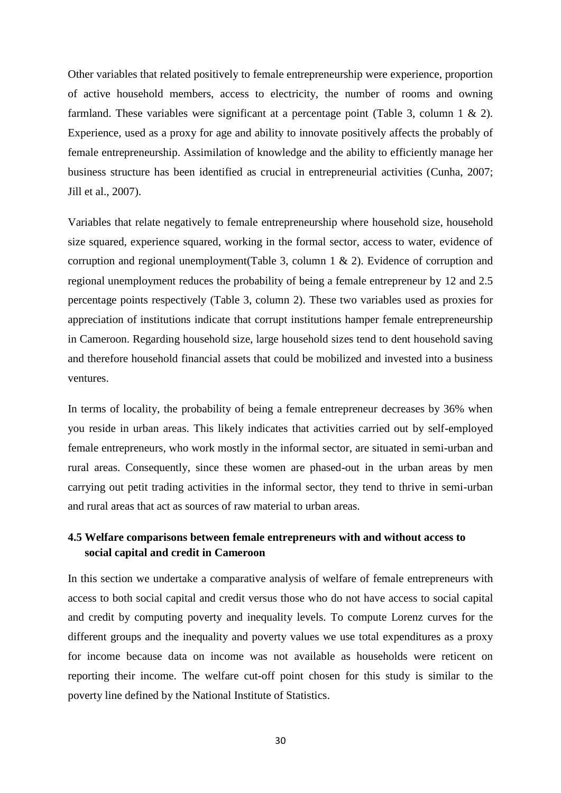Other variables that related positively to female entrepreneurship were experience, proportion of active household members, access to electricity, the number of rooms and owning farmland. These variables were significant at a percentage point (Table 3, column 1 & 2). Experience, used as a proxy for age and ability to innovate positively affects the probably of female entrepreneurship. Assimilation of knowledge and the ability to efficiently manage her business structure has been identified as crucial in entrepreneurial activities (Cunha, 2007; Jill et al., 2007).

Variables that relate negatively to female entrepreneurship where household size, household size squared, experience squared, working in the formal sector, access to water, evidence of corruption and regional unemployment(Table 3, column 1 & 2). Evidence of corruption and regional unemployment reduces the probability of being a female entrepreneur by 12 and 2.5 percentage points respectively (Table 3, column 2). These two variables used as proxies for appreciation of institutions indicate that corrupt institutions hamper female entrepreneurship in Cameroon. Regarding household size, large household sizes tend to dent household saving and therefore household financial assets that could be mobilized and invested into a business ventures.

In terms of locality, the probability of being a female entrepreneur decreases by 36% when you reside in urban areas. This likely indicates that activities carried out by self-employed female entrepreneurs, who work mostly in the informal sector, are situated in semi-urban and rural areas. Consequently, since these women are phased-out in the urban areas by men carrying out petit trading activities in the informal sector, they tend to thrive in semi-urban and rural areas that act as sources of raw material to urban areas.

# <span id="page-29-0"></span>**4.5 Welfare comparisons between female entrepreneurs with and without access to social capital and credit in Cameroon**

In this section we undertake a comparative analysis of welfare of female entrepreneurs with access to both social capital and credit versus those who do not have access to social capital and credit by computing poverty and inequality levels. To compute Lorenz curves for the different groups and the inequality and poverty values we use total expenditures as a proxy for income because data on income was not available as households were reticent on reporting their income. The welfare cut-off point chosen for this study is similar to the poverty line defined by the National Institute of Statistics.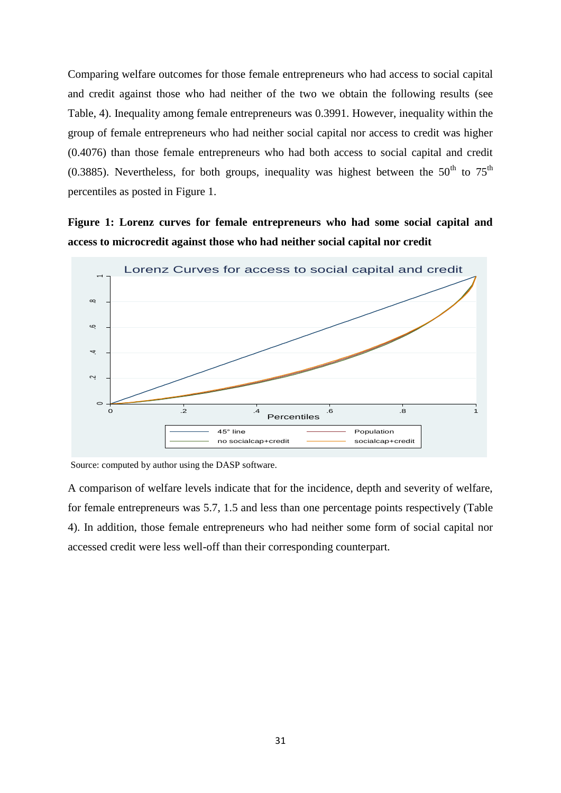Comparing welfare outcomes for those female entrepreneurs who had access to social capital and credit against those who had neither of the two we obtain the following results (see Table, 4). Inequality among female entrepreneurs was 0.3991. However, inequality within the group of female entrepreneurs who had neither social capital nor access to credit was higher (0.4076) than those female entrepreneurs who had both access to social capital and credit (0.3885). Nevertheless, for both groups, inequality was highest between the  $50<sup>th</sup>$  to  $75<sup>th</sup>$ percentiles as posted in Figure 1.

**Figure 1: Lorenz curves for female entrepreneurs who had some social capital and access to microcredit against those who had neither social capital nor credit**



Source: computed by author using the DASP software.

A comparison of welfare levels indicate that for the incidence, depth and severity of welfare, for female entrepreneurs was 5.7, 1.5 and less than one percentage points respectively (Table 4). In addition, those female entrepreneurs who had neither some form of social capital nor accessed credit were less well-off than their corresponding counterpart.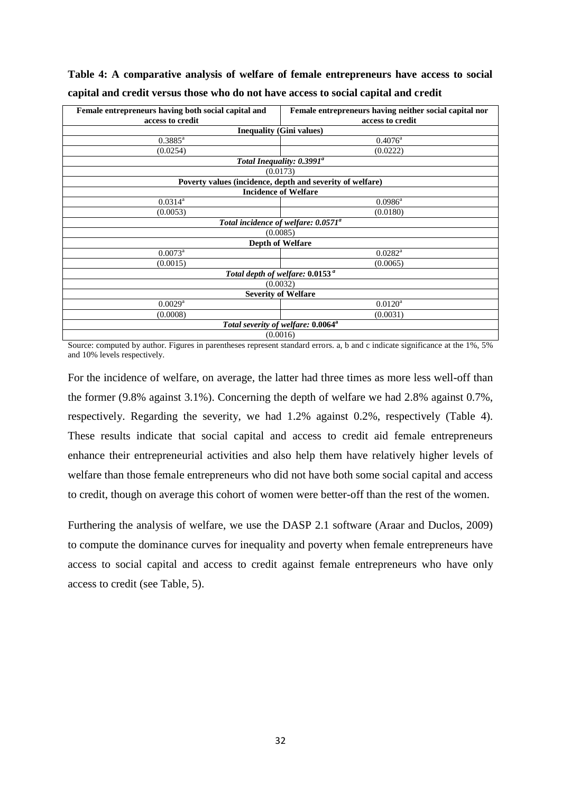| Female entrepreneurs having both social capital and       | Female entrepreneurs having neither social capital nor |  |  |  |  |
|-----------------------------------------------------------|--------------------------------------------------------|--|--|--|--|
| access to credit                                          | access to credit                                       |  |  |  |  |
| <b>Inequality (Gini values)</b>                           |                                                        |  |  |  |  |
| $0.3885^{\rm a}$                                          | $0.4076^{\rm a}$                                       |  |  |  |  |
| (0.0254)                                                  | (0.0222)                                               |  |  |  |  |
| Total Inequality: 0.3991 <sup>a</sup>                     |                                                        |  |  |  |  |
| (0.0173)                                                  |                                                        |  |  |  |  |
| Poverty values (incidence, depth and severity of welfare) |                                                        |  |  |  |  |
| <b>Incidence of Welfare</b>                               |                                                        |  |  |  |  |
| $0.0314^a$                                                | $0.0986^{\rm a}$                                       |  |  |  |  |
| (0.0053)                                                  | (0.0180)                                               |  |  |  |  |
| Total incidence of welfare: 0.0571 <sup>a</sup>           |                                                        |  |  |  |  |
| (0.0085)                                                  |                                                        |  |  |  |  |
|                                                           | <b>Depth of Welfare</b>                                |  |  |  |  |
| $0.0073^a$                                                | $0.0282^{\text{a}}$                                    |  |  |  |  |
| (0.0015)<br>(0.0065)                                      |                                                        |  |  |  |  |
| Total depth of welfare: 0.0153 <sup>a</sup>               |                                                        |  |  |  |  |
| (0.0032)                                                  |                                                        |  |  |  |  |
| <b>Severity of Welfare</b>                                |                                                        |  |  |  |  |
| $0.0029$ <sup>a</sup><br>$0.0120^a$                       |                                                        |  |  |  |  |
| (0.0008)<br>(0.0031)                                      |                                                        |  |  |  |  |
| Total severity of welfare: 0.0064 <sup>a</sup>            |                                                        |  |  |  |  |
| (0.0016)                                                  |                                                        |  |  |  |  |

**Table 4: A comparative analysis of welfare of female entrepreneurs have access to social capital and credit versus those who do not have access to social capital and credit**

Source: computed by author. Figures in parentheses represent standard errors. a, b and c indicate significance at the 1%, 5% and 10% levels respectively.

For the incidence of welfare, on average, the latter had three times as more less well-off than the former (9.8% against 3.1%). Concerning the depth of welfare we had 2.8% against 0.7%, respectively. Regarding the severity, we had 1.2% against 0.2%, respectively (Table 4). These results indicate that social capital and access to credit aid female entrepreneurs enhance their entrepreneurial activities and also help them have relatively higher levels of welfare than those female entrepreneurs who did not have both some social capital and access to credit, though on average this cohort of women were better-off than the rest of the women.

Furthering the analysis of welfare, we use the DASP 2.1 software (Araar and Duclos, 2009) to compute the dominance curves for inequality and poverty when female entrepreneurs have access to social capital and access to credit against female entrepreneurs who have only access to credit (see Table, 5).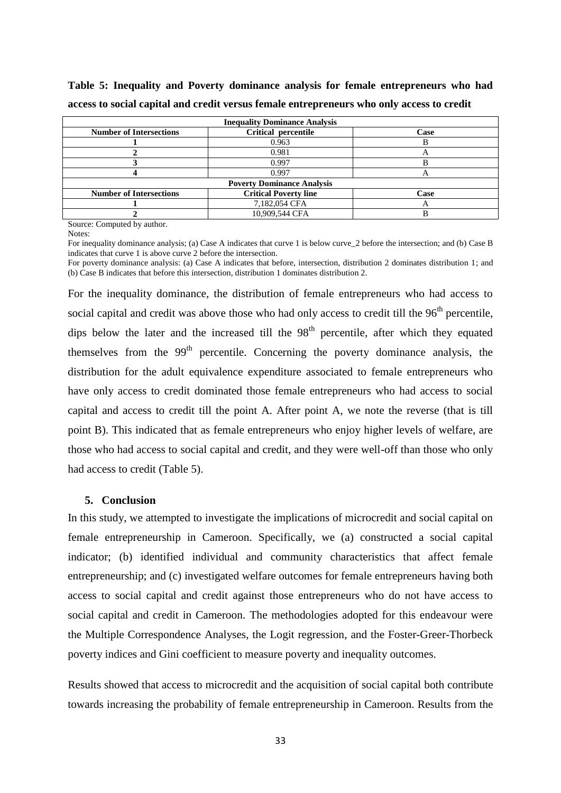| <b>Inequality Dominance Analysis</b> |                              |      |  |  |  |  |
|--------------------------------------|------------------------------|------|--|--|--|--|
| <b>Number of Intersections</b>       | Critical percentile          | Case |  |  |  |  |
|                                      | 0.963                        |      |  |  |  |  |
|                                      | 0.981                        |      |  |  |  |  |
|                                      | 0.997                        |      |  |  |  |  |
|                                      | 0.997                        | ┍┑   |  |  |  |  |
| <b>Poverty Dominance Analysis</b>    |                              |      |  |  |  |  |
| <b>Number of Intersections</b>       | <b>Critical Poverty line</b> | Case |  |  |  |  |
|                                      | 7,182,054 CFA                | Α    |  |  |  |  |
|                                      | 10,909,544 CFA               |      |  |  |  |  |

**Table 5: Inequality and Poverty dominance analysis for female entrepreneurs who had access to social capital and credit versus female entrepreneurs who only access to credit**

Source: Computed by author.

Notes:

For inequality dominance analysis; (a) Case A indicates that curve 1 is below curve 2 before the intersection; and (b) Case B indicates that curve 1 is above curve 2 before the intersection.

For poverty dominance analysis: (a) Case A indicates that before, intersection, distribution 2 dominates distribution 1; and (b) Case B indicates that before this intersection, distribution 1 dominates distribution 2.

For the inequality dominance, the distribution of female entrepreneurs who had access to social capital and credit was above those who had only access to credit till the  $96<sup>th</sup>$  percentile, dips below the later and the increased till the  $98<sup>th</sup>$  percentile, after which they equated themselves from the  $99<sup>th</sup>$  percentile. Concerning the poverty dominance analysis, the distribution for the adult equivalence expenditure associated to female entrepreneurs who have only access to credit dominated those female entrepreneurs who had access to social capital and access to credit till the point A. After point A, we note the reverse (that is till point B). This indicated that as female entrepreneurs who enjoy higher levels of welfare, are those who had access to social capital and credit, and they were well-off than those who only had access to credit (Table 5).

## <span id="page-32-0"></span>**5. Conclusion**

In this study, we attempted to investigate the implications of microcredit and social capital on female entrepreneurship in Cameroon. Specifically, we (a) constructed a social capital indicator; (b) identified individual and community characteristics that affect female entrepreneurship; and (c) investigated welfare outcomes for female entrepreneurs having both access to social capital and credit against those entrepreneurs who do not have access to social capital and credit in Cameroon. The methodologies adopted for this endeavour were the Multiple Correspondence Analyses, the Logit regression, and the Foster-Greer-Thorbeck poverty indices and Gini coefficient to measure poverty and inequality outcomes.

Results showed that access to microcredit and the acquisition of social capital both contribute towards increasing the probability of female entrepreneurship in Cameroon. Results from the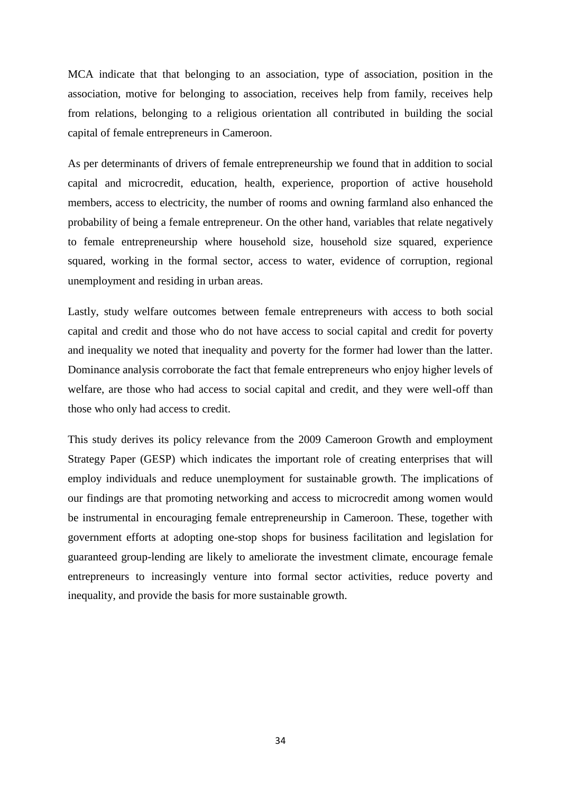MCA indicate that that belonging to an association, type of association, position in the association, motive for belonging to association, receives help from family, receives help from relations, belonging to a religious orientation all contributed in building the social capital of female entrepreneurs in Cameroon.

As per determinants of drivers of female entrepreneurship we found that in addition to social capital and microcredit, education, health, experience, proportion of active household members, access to electricity, the number of rooms and owning farmland also enhanced the probability of being a female entrepreneur. On the other hand, variables that relate negatively to female entrepreneurship where household size, household size squared, experience squared, working in the formal sector, access to water, evidence of corruption, regional unemployment and residing in urban areas.

Lastly, study welfare outcomes between female entrepreneurs with access to both social capital and credit and those who do not have access to social capital and credit for poverty and inequality we noted that inequality and poverty for the former had lower than the latter. Dominance analysis corroborate the fact that female entrepreneurs who enjoy higher levels of welfare, are those who had access to social capital and credit, and they were well-off than those who only had access to credit.

This study derives its policy relevance from the 2009 Cameroon Growth and employment Strategy Paper (GESP) which indicates the important role of creating enterprises that will employ individuals and reduce unemployment for sustainable growth. The implications of our findings are that promoting networking and access to microcredit among women would be instrumental in encouraging female entrepreneurship in Cameroon. These, together with government efforts at adopting one-stop shops for business facilitation and legislation for guaranteed group-lending are likely to ameliorate the investment climate, encourage female entrepreneurs to increasingly venture into formal sector activities, reduce poverty and inequality, and provide the basis for more sustainable growth.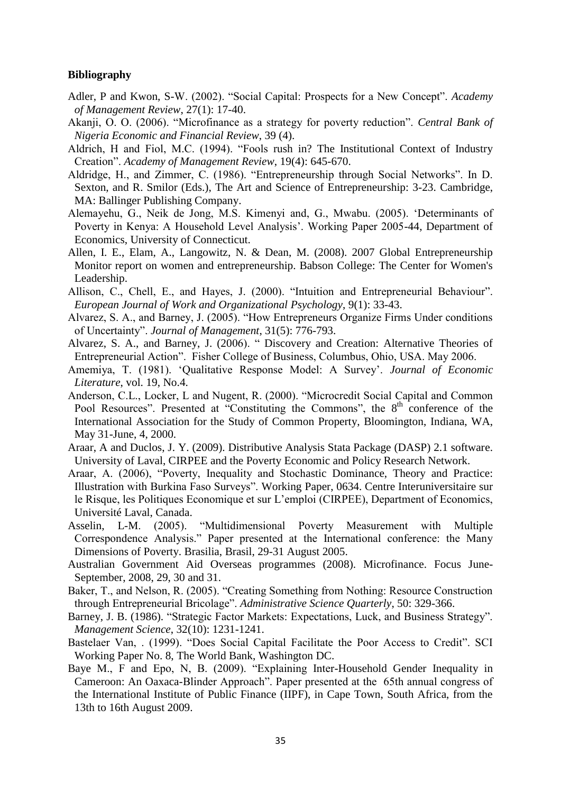# <span id="page-34-0"></span>**Bibliography**

- Adler, P and Kwon, S-W. (2002). "Social Capital: Prospects for a New Concept". *Academy of Management Review*, 27(1): 17-40.
- Akanji, O. O. (2006). "Microfinance as a strategy for poverty reduction". *Central Bank of Nigeria Economic and Financial Review*, 39 (4).
- Aldrich, H and Fiol, M.C. (1994). "Fools rush in? The Institutional Context of Industry Creation". *Academy of Management Review*, 19(4): 645-670.
- Aldridge, H., and Zimmer, C. (1986). "Entrepreneurship through Social Networks". In D. Sexton, and R. Smilor (Eds.), The Art and Science of Entrepreneurship: 3-23. Cambridge, MA: Ballinger Publishing Company.
- Alemayehu, G., Neik de Jong, M.S. Kimenyi and, G., Mwabu. (2005). 'Determinants of Poverty in Kenya: A Household Level Analysis'. Working Paper 2005-44, Department of Economics, University of Connecticut.
- Allen, I. E., Elam, A., Langowitz, N. & Dean, M. (2008). 2007 Global Entrepreneurship Monitor report on women and entrepreneurship. Babson College: The Center for Women's Leadership.
- Allison, C., Chell, E., and Hayes, J. (2000). "Intuition and Entrepreneurial Behaviour". *European Journal of Work and Organizational Psychology*, 9(1): 33-43.
- Alvarez, S. A., and Barney, J. (2005). "How Entrepreneurs Organize Firms Under conditions of Uncertainty". *Journal of Management*, 31(5): 776-793.
- Alvarez, S. A., and Barney, J. (2006). " Discovery and Creation: Alternative Theories of Entrepreneurial Action". Fisher College of Business, Columbus, Ohio, USA. May 2006.
- Amemiya, T. (1981). 'Qualitative Response Model: A Survey'. *Journal of Economic Literature*, vol. 19, No.4.
- Anderson, C.L., Locker, L and Nugent, R. (2000). "Microcredit Social Capital and Common Pool Resources". Presented at "Constituting the Commons", the  $8<sup>th</sup>$  conference of the International Association for the Study of Common Property, Bloomington, Indiana, WA, May 31-June, 4, 2000.
- Araar, A and Duclos, J. Y. (2009). Distributive Analysis Stata Package (DASP) 2.1 software. University of Laval, CIRPEE and the Poverty Economic and Policy Research Network.
- Araar, A. (2006), "Poverty, Inequality and Stochastic Dominance, Theory and Practice: Illustration with Burkina Faso Surveys". Working Paper, 0634. Centre Interuniversitaire sur le Risque, les Politiques Economique et sur L'emploi (CIRPEE), Department of Economics, Université Laval, Canada.
- Asselin, L-M. (2005). "Multidimensional Poverty Measurement with Multiple Correspondence Analysis." Paper presented at the International conference: the Many Dimensions of Poverty. Brasilia, Brasil, 29-31 August 2005.
- Australian Government Aid Overseas programmes (2008). Microfinance. Focus June-September, 2008, 29, 30 and 31.
- Baker, T., and Nelson, R. (2005). "Creating Something from Nothing: Resource Construction through Entrepreneurial Bricolage". *Administrative Science Quarterly*, 50: 329-366.
- Barney, J. B. (1986). "Strategic Factor Markets: Expectations, Luck, and Business Strategy". *Management Science*, 32(10): 1231-1241.
- Bastelaer Van, . (1999). "Does Social Capital Facilitate the Poor Access to Credit". SCI Working Paper No. 8, The World Bank, Washington DC.
- Baye M., F and Epo, N, B. (2009). "Explaining Inter-Household Gender Inequality in Cameroon: An Oaxaca-Blinder Approach". Paper presented at the 65th annual congress of the International Institute of Public Finance (IIPF), in Cape Town, South Africa, from the 13th to 16th August 2009.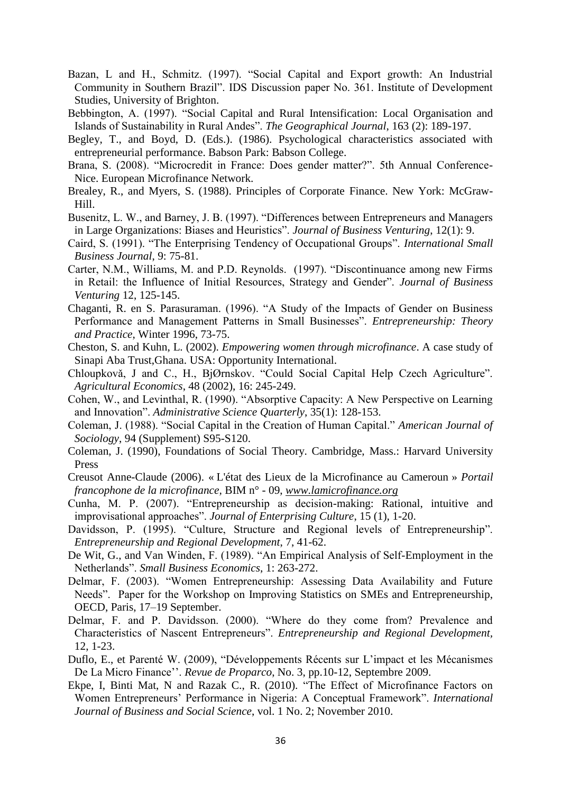- Bazan, L and H., Schmitz. (1997). "Social Capital and Export growth: An Industrial Community in Southern Brazil". IDS Discussion paper No. 361. Institute of Development Studies, University of Brighton.
- Bebbington, A. (1997). "Social Capital and Rural Intensification: Local Organisation and Islands of Sustainability in Rural Andes". *The Geographical Journal*, 163 (2): 189-197.
- Begley, T., and Boyd, D. (Eds.). (1986). Psychological characteristics associated with entrepreneurial performance. Babson Park: Babson College.
- Brana, S. (2008). "Microcredit in France: Does gender matter?". 5th Annual Conference-Nice. European Microfinance Network.
- Brealey, R., and Myers, S. (1988). Principles of Corporate Finance. New York: McGraw-Hill.
- Busenitz, L. W., and Barney, J. B. (1997). "Differences between Entrepreneurs and Managers in Large Organizations: Biases and Heuristics". *Journal of Business Venturing*, 12(1): 9.
- Caird, S. (1991). "The Enterprising Tendency of Occupational Groups". *International Small Business Journal*, 9: 75-81.
- Carter, N.M., Williams, M. and P.D. Reynolds. (1997). "Discontinuance among new Firms in Retail: the Influence of Initial Resources, Strategy and Gender". *Journal of Business Venturing* 12, 125-145.
- Chaganti, R. en S. Parasuraman. (1996). "A Study of the Impacts of Gender on Business Performance and Management Patterns in Small Businesses". *Entrepreneurship: Theory and Practice*, Winter 1996, 73-75.
- Cheston, S. and Kuhn, L. (2002). *Empowering women through microfinance*. A case study of Sinapi Aba Trust,Ghana. USA: Opportunity International.
- Chloupkovǎ, J and C., H., BjØrnskov. "Could Social Capital Help Czech Agriculture". *Agricultural Economics*, 48 (2002), 16: 245-249.
- Cohen, W., and Levinthal, R. (1990). "Absorptive Capacity: A New Perspective on Learning and Innovation". *Administrative Science Quarterly*, 35(1): 128-153.
- Coleman, J. (1988). "Social Capital in the Creation of Human Capital." *American Journal of Sociology*, 94 (Supplement) S95-S120.
- Coleman, J. (1990), Foundations of Social Theory. Cambridge, Mass.: Harvard University Press
- Creusot Anne-Claude (2006). « L'état des Lieux de la Microfinance au Cameroun » *Portail francophone de la microfinance,* BIM n° - 09, *[www.lamicrofinance.org](http://www.lamicrofinance.org/)*
- Cunha, M. P. (2007). "Entrepreneurship as decision-making: Rational, intuitive and improvisational approaches". *Journal of Enterprising Culture*, 15 (1), 1-20.
- Davidsson, P. (1995). "Culture, Structure and Regional levels of Entrepreneurship". *Entrepreneurship and Regional Development*, 7, 41-62.
- De Wit, G., and Van Winden, F. (1989). "An Empirical Analysis of Self-Employment in the Netherlands". *Small Business Economics*, 1: 263-272.
- Delmar, F. (2003). "Women Entrepreneurship: Assessing Data Availability and Future Needs". Paper for the Workshop on Improving Statistics on SMEs and Entrepreneurship, OECD, Paris, 17–19 September.
- Delmar, F. and P. Davidsson. (2000). "Where do they come from? Prevalence and Characteristics of Nascent Entrepreneurs". *Entrepreneurship and Regional Development,* 12, 1-23.
- Duflo, E., et Parenté W. (2009), "Développements Récents sur L'impact et les Mécanismes De La Micro Finance''. *Revue de Proparco*, No. 3, pp.10-12, Septembre 2009.
- Ekpe, I, Binti Mat, N and Razak C., R. (2010). "The Effect of Microfinance Factors on Women Entrepreneurs' Performance in Nigeria: A Conceptual Framework". *International Journal of Business and Social Science*, vol. 1 No. 2; November 2010.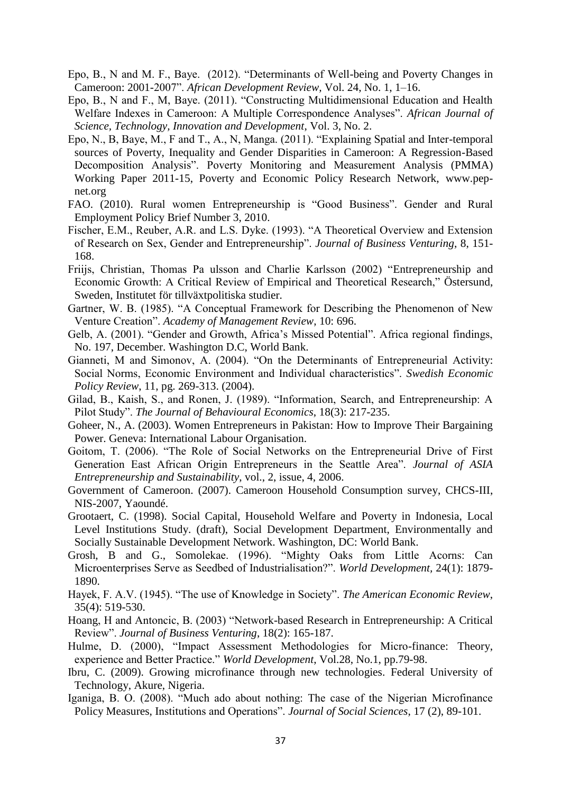- Epo, B., N and M. F., Baye. (2012). "Determinants of Well-being and Poverty Changes in Cameroon: 2001-2007". *African Development Review,* Vol. 24, No. 1, 1–16.
- Epo, B., N and F., M, Baye. (2011). "Constructing Multidimensional Education and Health Welfare Indexes in Cameroon: A Multiple Correspondence Analyses". *African Journal of Science, Technology, Innovation and Development*, Vol. 3, No. 2.
- Epo, N., B, Baye, M., F and T., A., N, Manga. (2011). "Explaining Spatial and Inter-temporal sources of Poverty, Inequality and Gender Disparities in Cameroon: A Regression-Based Decomposition Analysis". Poverty Monitoring and Measurement Analysis (PMMA) Working Paper 2011-15, Poverty and Economic Policy Research Network, [www.pep](http://www.pep-net.org/)[net.org](http://www.pep-net.org/)
- FAO. (2010). Rural women Entrepreneurship is "Good Business". Gender and Rural Employment Policy Brief Number 3, 2010.
- Fischer, E.M., Reuber, A.R. and L.S. Dyke. (1993). "A Theoretical Overview and Extension of Research on Sex, Gender and Entrepreneurship". *Journal of Business Venturing*, 8, 151- 168.
- Friijs, Christian, Thomas Pa ulsson and Charlie Karlsson (2002) "Entrepreneurship and Economic Growth: A Critical Review of Empirical and Theoretical Research," Östersund, Sweden, Institutet för tillväxtpolitiska studier.
- Gartner, W. B. (1985). "A Conceptual Framework for Describing the Phenomenon of New Venture Creation". *Academy of Management Review*, 10: 696.
- Gelb, A. (2001). "Gender and Growth, Africa's Missed Potential". Africa regional findings, No. 197, December. Washington D.C, World Bank.
- Gianneti, M and Simonov, A. (2004). "On the Determinants of Entrepreneurial Activity: Social Norms, Economic Environment and Individual characteristics". *Swedish Economic Policy Review*, 11, pg. 269-313. (2004).
- Gilad, B., Kaish, S., and Ronen, J. (1989). "Information, Search, and Entrepreneurship: A Pilot Study". *The Journal of Behavioural Economics*, 18(3): 217-235.
- Goheer, N., A. (2003). Women Entrepreneurs in Pakistan: How to Improve Their Bargaining Power. Geneva: International Labour Organisation.
- Goitom, T. (2006). "The Role of Social Networks on the Entrepreneurial Drive of First Generation East African Origin Entrepreneurs in the Seattle Area". *Journal of ASIA Entrepreneurship and Sustainability*, vol., 2, issue, 4, 2006.
- Government of Cameroon. (2007). Cameroon Household Consumption survey, CHCS-III, NIS-2007, Yaoundé.
- Grootaert, C. (1998). Social Capital, Household Welfare and Poverty in Indonesia, Local Level Institutions Study. (draft), Social Development Department, Environmentally and Socially Sustainable Development Network. Washington, DC: World Bank.
- Grosh, B and G., Somolekae. (1996). "Mighty Oaks from Little Acorns: Can Microenterprises Serve as Seedbed of Industrialisation?". *World Development,* 24(1): 1879- 1890.
- Hayek, F. A.V. (1945). "The use of Knowledge in Society". *The American Economic Review*, 35(4): 519-530.
- Hoang, H and Antoncic, B. (2003) "Network-based Research in Entrepreneurship: A Critical Review". *Journal of Business Venturing*, 18(2): 165-187.
- Hulme, D. (2000), "Impact Assessment Methodologies for Micro-finance: Theory, experience and Better Practice." *World Development*, Vol.28, No.1, pp.79-98.
- Ibru, C. (2009). Growing microfinance through new technologies. Federal University of Technology, Akure, Nigeria.
- Iganiga, B. O. (2008). "Much ado about nothing: The case of the Nigerian Microfinance Policy Measures, Institutions and Operations". *Journal of Social Sciences*, 17 (2), 89-101.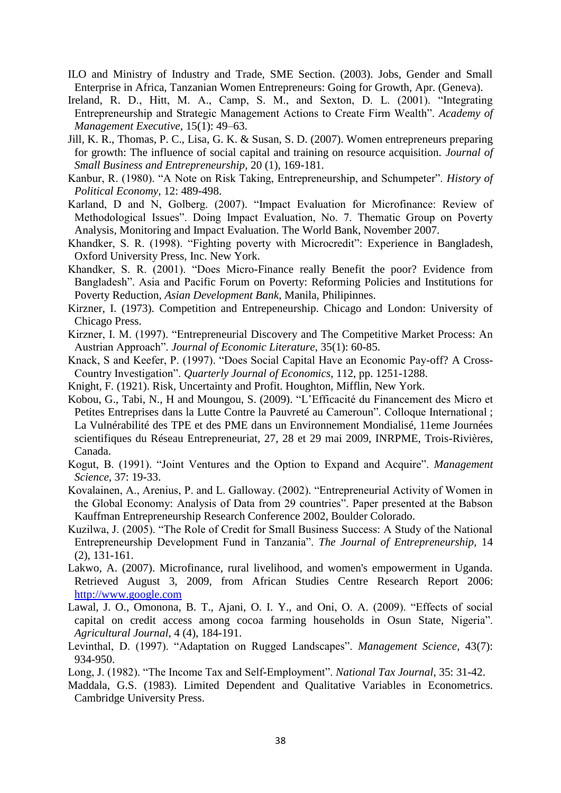- ILO and Ministry of Industry and Trade, SME Section. (2003). Jobs, Gender and Small Enterprise in Africa, Tanzanian Women Entrepreneurs: Going for Growth, Apr. (Geneva).
- Ireland, R. D., Hitt, M. A., Camp, S. M., and Sexton, D. L. (2001). "Integrating Entrepreneurship and Strategic Management Actions to Create Firm Wealth". *Academy of Management Executive*, 15(1): 49–63.
- Jill, K. R., Thomas, P. C., Lisa, G. K. & Susan, S. D. (2007). Women entrepreneurs preparing for growth: The influence of social capital and training on resource acquisition. *Journal of Small Business and Entrepreneurship*, 20 (1), 169-181.
- Kanbur, R. (1980). "A Note on Risk Taking, Entrepreneurship, and Schumpeter". *History of Political Economy*, 12: 489-498.
- Karland, D and N, Golberg. (2007). "Impact Evaluation for Microfinance: Review of Methodological Issues". Doing Impact Evaluation, No. 7. Thematic Group on Poverty Analysis, Monitoring and Impact Evaluation. The World Bank, November 2007.
- Khandker, S. R. (1998). "Fighting poverty with Microcredit": Experience in Bangladesh, Oxford University Press, Inc. New York.
- Khandker, S. R. (2001). "Does Micro-Finance really Benefit the poor? Evidence from Bangladesh". Asia and Pacific Forum on Poverty: Reforming Policies and Institutions for Poverty Reduction, *Asian Development Bank*, Manila, Philipinnes.
- Kirzner, I. (1973). Competition and Entrepeneurship. Chicago and London: University of Chicago Press.
- Kirzner, I. M. (1997). "Entrepreneurial Discovery and The Competitive Market Process: An Austrian Approach". *Journal of Economic Literature*, 35(1): 60-85.
- Knack, S and Keefer, P. (1997). "Does Social Capital Have an Economic Pay-off? A Cross-Country Investigation". *Quarterly Journal of Economics*, 112, pp. 1251-1288.
- Knight, F. (1921). Risk, Uncertainty and Profit. Houghton, Mifflin, New York.
- Kobou, G., Tabi, N., H and Moungou, S. (2009). "L'Efficacité du Financement des Micro et Petites Entreprises dans la Lutte Contre la Pauvreté au Cameroun". Colloque International ; La Vulnérabilité des TPE et des PME dans un Environnement Mondialisé, 11eme Journées scientifiques du Réseau Entrepreneuriat, 27, 28 et 29 mai 2009, INRPME, Trois-Rivières, Canada.
- Kogut, B. (1991). "Joint Ventures and the Option to Expand and Acquire". *Management Science*, 37: 19-33.
- Kovalainen, A., Arenius, P. and L. Galloway. (2002). "Entrepreneurial Activity of Women in the Global Economy: Analysis of Data from 29 countries". Paper presented at the Babson Kauffman Entrepreneurship Research Conference 2002, Boulder Colorado.
- Kuzilwa, J. (2005). "The Role of Credit for Small Business Success: A Study of the National Entrepreneurship Development Fund in Tanzania". *The Journal of Entrepreneurship*, 14 (2), 131-161.
- Lakwo, A. (2007). Microfinance, rural livelihood, and women's empowerment in Uganda. Retrieved August 3, 2009, from African Studies Centre Research Report 2006: [http://www.google.com](http://www.google.com/)
- Lawal, J. O., Omonona, B. T., Ajani, O. I. Y., and Oni, O. A. (2009). "Effects of social capital on credit access among cocoa farming households in Osun State, Nigeria". *Agricultural Journal*, 4 (4), 184-191.
- Levinthal, D. (1997). "Adaptation on Rugged Landscapes". *Management Science*, 43(7): 934-950.
- Long, J. (1982). "The Income Tax and Self-Employment". *National Tax Journal*, 35: 31-42.
- Maddala, G.S. (1983). Limited Dependent and Qualitative Variables in Econometrics. Cambridge University Press.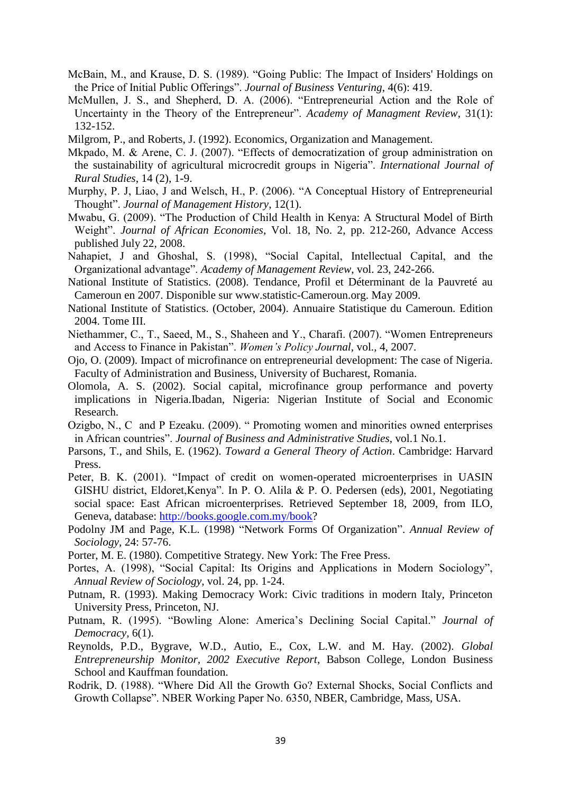- McBain, M., and Krause, D. S. (1989). "Going Public: The Impact of Insiders' Holdings on the Price of Initial Public Offerings". *Journal of Business Venturing*, 4(6): 419.
- McMullen, J. S., and Shepherd, D. A. (2006). "Entrepreneurial Action and the Role of Uncertainty in the Theory of the Entrepreneur". *Academy of Managment Review*, 31(1): 132-152.

Milgrom, P., and Roberts, J. (1992). Economics, Organization and Management.

- Mkpado, M. & Arene, C. J. (2007). "Effects of democratization of group administration on the sustainability of agricultural microcredit groups in Nigeria". *International Journal of Rural Studies*, 14 (2), 1-9.
- Murphy, P. J, Liao, J and Welsch, H., P. (2006). "A Conceptual History of Entrepreneurial Thought". *Journal of Management History*, 12(1).
- Mwabu, G. (2009). "The Production of Child Health in Kenya: A Structural Model of Birth Weight". *Journal of African Economies*, Vol. 18, No. 2, pp. 212-260, Advance Access published July 22, 2008.
- Nahapiet, J and Ghoshal, S. (1998), "Social Capital, Intellectual Capital, and the Organizational advantage". *Academy of Management Review*, vol. 23, 242-266.
- National Institute of Statistics. (2008). Tendance, Profil et Déterminant de la Pauvreté au Cameroun en 2007. Disponible sur [www.statistic-Cameroun.org.](http://www.statistic-cameroun.org/) May 2009.
- National Institute of Statistics. (October, 2004). Annuaire Statistique du Cameroun. Edition 2004. Tome III.
- Niethammer, C., T., Saeed, M., S., Shaheen and Y., Charafi. (2007). "Women Entrepreneurs and Access to Finance in Pakistan". *Women's Policy Journal*, vol., 4, 2007.
- Ojo, O. (2009). Impact of microfinance on entrepreneurial development: The case of Nigeria. Faculty of Administration and Business, University of Bucharest, Romania.
- Olomola, A. S. (2002). Social capital, microfinance group performance and poverty implications in Nigeria.Ibadan, Nigeria: Nigerian Institute of Social and Economic Research.
- Ozigbo, N., C and P Ezeaku. (2009). " Promoting women and minorities owned enterprises in African countries". *Journal of Business and Administrative Studies*, vol.1 No.1.
- Parsons, T., and Shils, E. (1962). *Toward a General Theory of Action*. Cambridge: Harvard Press.
- Peter, B. K. (2001). "Impact of credit on women-operated microenterprises in UASIN GISHU district, Eldoret,Kenya". In P. O. Alila & P. O. Pedersen (eds), 2001, Negotiating social space: East African microenterprises. Retrieved September 18, 2009, from ILO, Geneva, database: [http://books.google.com.my/book?](http://books.google.com.my/book)
- Podolny JM and Page, K.L. (1998) "Network Forms Of Organization". *Annual Review of Sociology*, 24: 57-76.

Porter, M. E. (1980). Competitive Strategy. New York: The Free Press.

- Portes, A. (1998), "Social Capital: Its Origins and Applications in Modern Sociology", *Annual Review of Sociology*, vol. 24, pp. 1-24.
- Putnam, R. (1993). Making Democracy Work: Civic traditions in modern Italy, Princeton University Press, Princeton, NJ.
- Putnam, R. (1995). "Bowling Alone: America's Declining Social Capital." *Journal of Democracy*, 6(1).
- Reynolds, P.D., Bygrave, W.D., Autio, E., Cox, L.W. and M. Hay. (2002). *Global Entrepreneurship Monitor, 2002 Executive Report*, Babson College, London Business School and Kauffman foundation.
- Rodrik, D. (1988). "Where Did All the Growth Go? External Shocks, Social Conflicts and Growth Collapse". NBER Working Paper No. 6350, NBER, Cambridge, Mass, USA.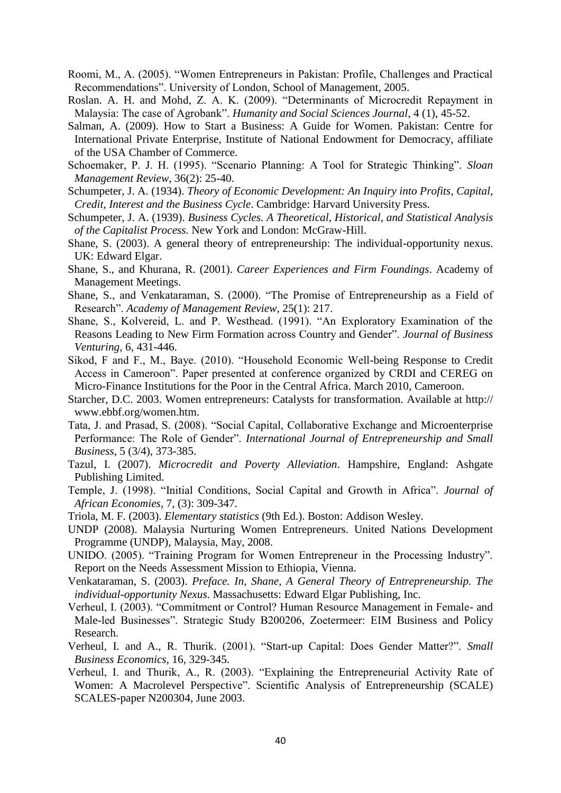- Roomi, M., A. (2005). "Women Entrepreneurs in Pakistan: Profile, Challenges and Practical Recommendations". University of London, School of Management, 2005.
- Roslan. A. H. and Mohd, Z. A. K. (2009). "Determinants of Microcredit Repayment in Malaysia: The case of Agrobank". *Humanity and Social Sciences Journal*, 4 (1), 45-52.
- Salman, A. (2009). How to Start a Business: A Guide for Women. Pakistan: Centre for International Private Enterprise, Institute of National Endowment for Democracy, affiliate of the USA Chamber of Commerce.
- Schoemaker, P. J. H. (1995). "Scenario Planning: A Tool for Strategic Thinking". *Sloan Management Review*, 36(2): 25-40.
- Schumpeter, J. A. (1934). *Theory of Economic Development: An Inquiry into Profits, Capital, Credit, Interest and the Business Cycle*. Cambridge: Harvard University Press.
- Schumpeter, J. A. (1939). *Business Cycles. A Theoretical, Historical, and Statistical Analysis of the Capitalist Process.* New York and London: McGraw-Hill.
- Shane, S. (2003). A general theory of entrepreneurship: The individual-opportunity nexus. UK: Edward Elgar.
- Shane, S., and Khurana, R. (2001). *Career Experiences and Firm Foundings*. Academy of Management Meetings.
- Shane, S., and Venkataraman, S. (2000). "The Promise of Entrepreneurship as a Field of Research". *Academy of Management Review*, 25(1): 217.
- Shane, S., Kolvereid, L. and P. Westhead. (1991). "An Exploratory Examination of the Reasons Leading to New Firm Formation across Country and Gender". *Journal of Business Venturing*, 6, 431-446.
- Sikod, F and F., M., Baye. (2010). "Household Economic Well-being Response to Credit Access in Cameroon". Paper presented at conference organized by CRDI and CEREG on Micro-Finance Institutions for the Poor in the Central Africa. March 2010, Cameroon.
- Starcher, D.C. 2003. Women entrepreneurs: Catalysts for transformation. Available at http:// www.ebbf.org/women.htm.
- Tata, J. and Prasad, S. (2008). "Social Capital, Collaborative Exchange and Microenterprise Performance: The Role of Gender". *International Journal of Entrepreneurship and Small Business*, 5 (3/4), 373-385.
- Tazul, I. (2007). *Microcredit and Poverty Alleviation*. Hampshire, England: Ashgate Publishing Limited.
- Temple, J. (1998). "Initial Conditions, Social Capital and Growth in Africa". *Journal of African Economies*, 7, (3): 309-347.
- Triola, M. F. (2003). *Elementary statistics* (9th Ed.). Boston: Addison Wesley.
- UNDP (2008). Malaysia Nurturing Women Entrepreneurs. United Nations Development Programme (UNDP), Malaysia, May, 2008.
- UNIDO. (2005). "Training Program for Women Entrepreneur in the Processing Industry". Report on the Needs Assessment Mission to Ethiopia, Vienna.
- Venkataraman, S. (2003). *Preface. In, Shane, A General Theory of Entrepreneurship. The individual-opportunity Nexus*. Massachusetts: Edward Elgar Publishing, Inc.
- Verheul, I. (2003). "Commitment or Control? Human Resource Management in Female- and Male-led Businesses". Strategic Study B200206, Zoetermeer: EIM Business and Policy Research.
- Verheul, I. and A., R. Thurik. (2001). "Start-up Capital: Does Gender Matter?". *Small Business Economics,* 16, 329-345.
- Verheul, I. and Thurik, A., R. (2003). "Explaining the Entrepreneurial Activity Rate of Women: A Macrolevel Perspective". Scientific Analysis of Entrepreneurship (SCALE) SCALES-paper N200304, June 2003.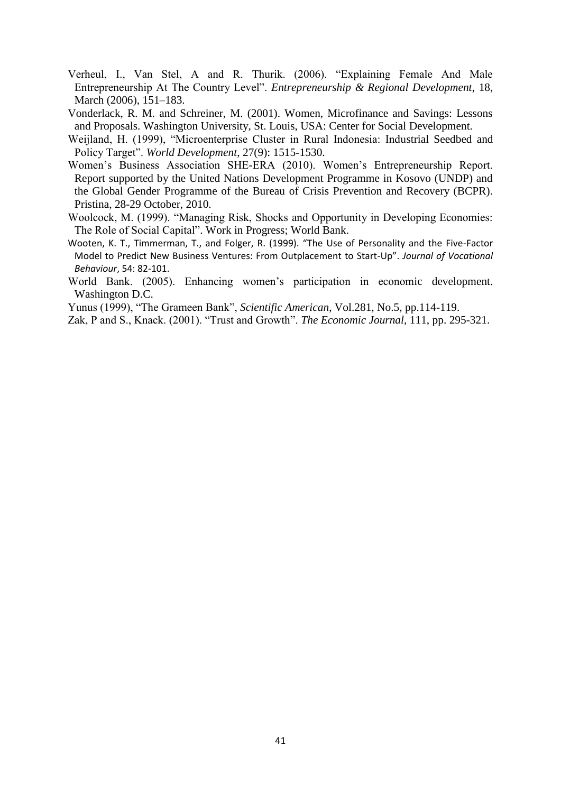- Verheul, I., Van Stel, A and R. Thurik. (2006). "Explaining Female And Male Entrepreneurship At The Country Level". *Entrepreneurship & Regional Development*, 18, March (2006), 151–183.
- Vonderlack, R. M. and Schreiner, M. (2001). Women, Microfinance and Savings: Lessons and Proposals. Washington University, St. Louis, USA: Center for Social Development.
- Weijland, H. (1999), "Microenterprise Cluster in Rural Indonesia: Industrial Seedbed and Policy Target". *World Development*, 27(9): 1515-1530.
- Women's Business Association SHE-ERA (2010). Women's Entrepreneurship Report. Report supported by the United Nations Development Programme in Kosovo (UNDP) and the Global Gender Programme of the Bureau of Crisis Prevention and Recovery (BCPR). Pristina, 28-29 October, 2010.
- Woolcock, M. (1999). "Managing Risk, Shocks and Opportunity in Developing Economies: The Role of Social Capital". Work in Progress; World Bank.
- Wooten, K. T., Timmerman, T., and Folger, R. (1999). "The Use of Personality and the Five-Factor Model to Predict New Business Ventures: From Outplacement to Start-Up". *Journal of Vocational Behaviour*, 54: 82-101.
- World Bank. (2005). Enhancing women's participation in economic development. Washington D.C.

Yunus (1999), "The Grameen Bank", *Scientific American*, Vol.281, No.5, pp.114-119.

Zak, P and S., Knack. (2001). "Trust and Growth". *The Economic Journal*, 111, pp. 295-321.